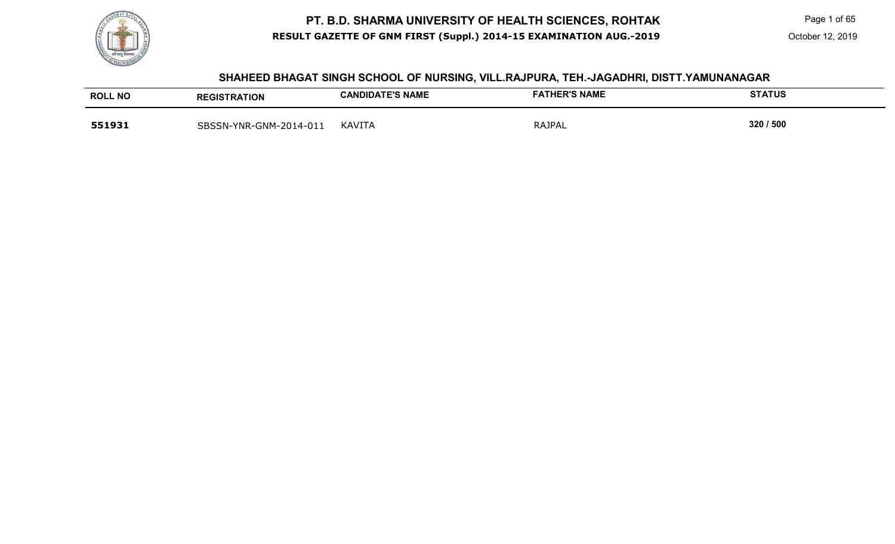

 Page 1 of 65 October 12, 2019

#### **SHAHEED BHAGAT SINGH SCHOOL OF NURSING, VILL.RAJPURA, TEH.-JAGADHRI, DISTT.YAMUNANAGAR**

| <b>ROLL NO</b> | <b>REGISTRATION</b>    | <b>CANDIDATE'S NAME</b> | <b>FATHER'S NAME</b> | <b>STATUS</b> |
|----------------|------------------------|-------------------------|----------------------|---------------|
| 551931         | SBSSN-YNR-GNM-2014-011 | <b>KAVITA</b>           | <b>RAJPAL</b>        | 320 / 500     |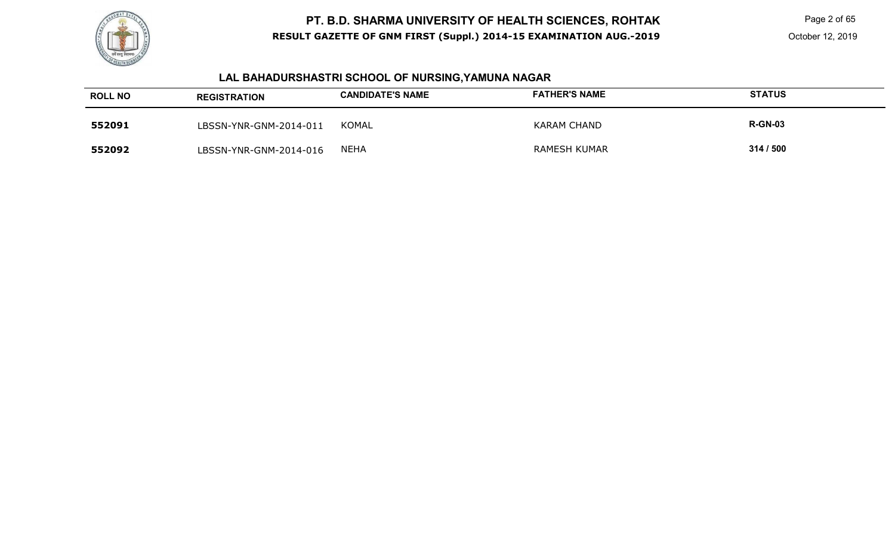

 Page 2 of 65 October 12, 2019

# **LAL BAHADURSHASTRI SCHOOL OF NURSING,YAMUNA NAGAR**

| <b>ROLL NO</b> | <b>REGISTRATION</b>    | <b>CANDIDATE'S NAME</b> | <b>FATHER'S NAME</b> | <b>STATUS</b>  |
|----------------|------------------------|-------------------------|----------------------|----------------|
| 552091         | LBSSN-YNR-GNM-2014-011 | KOMAL                   | <b>KARAM CHAND</b>   | <b>R-GN-03</b> |
| 552092         | LBSSN-YNR-GNM-2014-016 | <b>NEHA</b>             | <b>RAMESH KUMAR</b>  | 314 / 500      |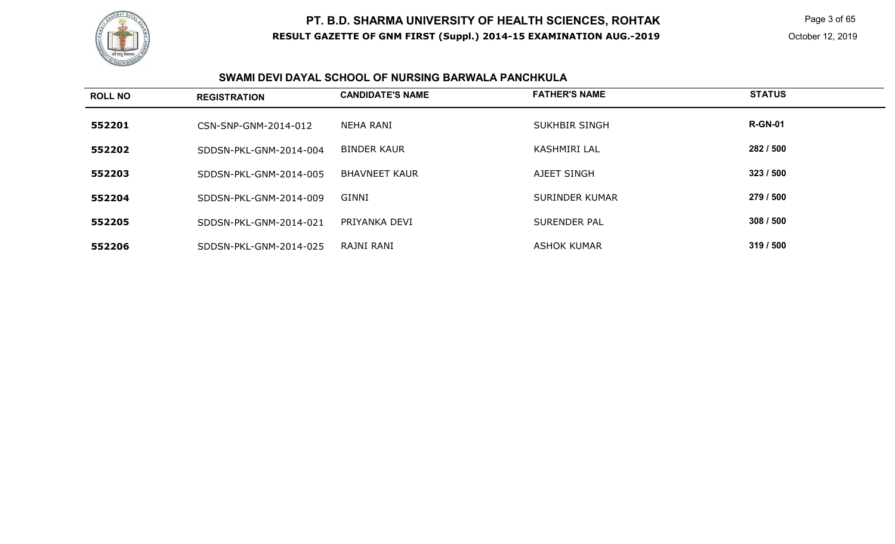

 Page 3 of 65 October 12, 2019

#### **SWAMI DEVI DAYAL SCHOOL OF NURSING BARWALA PANCHKULA**

| <b>ROLL NO</b> | <b>REGISTRATION</b>    | <b>CANDIDATE'S NAME</b> | <b>FATHER'S NAME</b>  | <b>STATUS</b>  |
|----------------|------------------------|-------------------------|-----------------------|----------------|
| 552201         | CSN-SNP-GNM-2014-012   | <b>NEHA RANI</b>        | <b>SUKHBIR SINGH</b>  | <b>R-GN-01</b> |
| 552202         | SDDSN-PKL-GNM-2014-004 | <b>BINDER KAUR</b>      | <b>KASHMIRI LAL</b>   | 282 / 500      |
| 552203         | SDDSN-PKL-GNM-2014-005 | <b>BHAVNEET KAUR</b>    | AJEET SINGH           | 323/500        |
| 552204         | SDDSN-PKL-GNM-2014-009 | GINNI                   | <b>SURINDER KUMAR</b> | 279 / 500      |
| 552205         | SDDSN-PKL-GNM-2014-021 | PRIYANKA DEVI           | SURENDER PAL          | 308 / 500      |
| 552206         | SDDSN-PKL-GNM-2014-025 | RAJNI RANI              | <b>ASHOK KUMAR</b>    | 319 / 500      |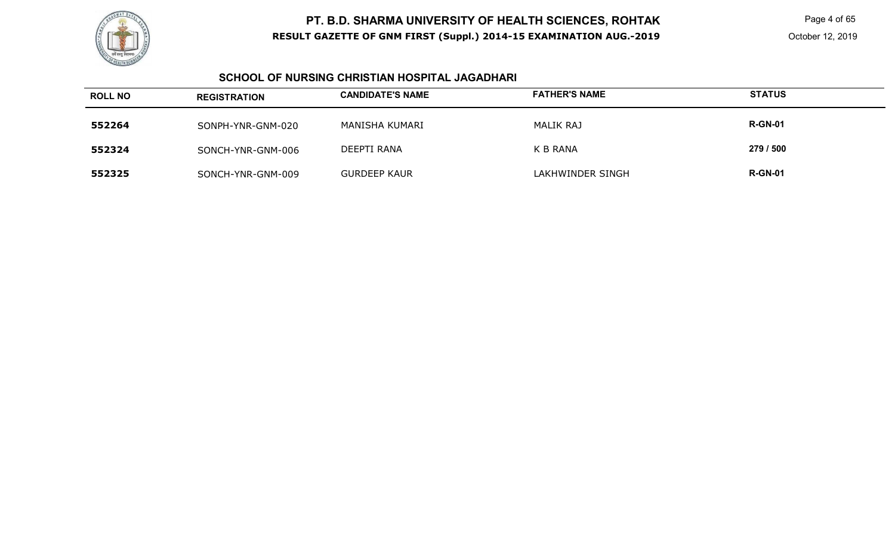

 Page 4 of 65 October 12, 2019

### **SCHOOL OF NURSING CHRISTIAN HOSPITAL JAGADHARI**

| <b>ROLL NO</b> | <b>REGISTRATION</b> | <b>CANDIDATE'S NAME</b> | <b>FATHER'S NAME</b> | <b>STATUS</b>  |
|----------------|---------------------|-------------------------|----------------------|----------------|
| 552264         | SONPH-YNR-GNM-020   | MANISHA KUMARI          | MALIK RAJ            | <b>R-GN-01</b> |
| 552324         | SONCH-YNR-GNM-006   | DEEPTI RANA             | K B RANA             | 279 / 500      |
| 552325         | SONCH-YNR-GNM-009   | <b>GURDEEP KAUR</b>     | LAKHWINDER SINGH     | <b>R-GN-01</b> |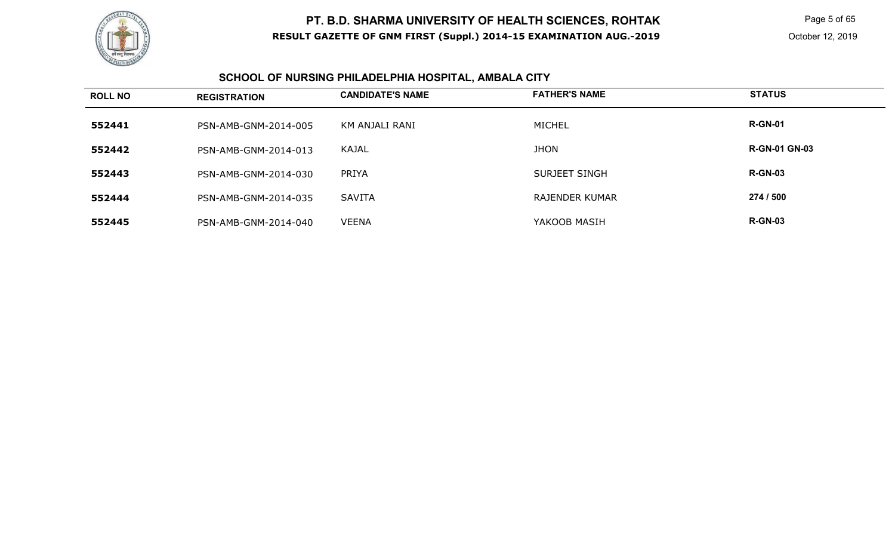

 Page 5 of 65 October 12, 2019

#### **SCHOOL OF NURSING PHILADELPHIA HOSPITAL, AMBALA CITY**

| <b>ROLL NO</b> | <b>REGISTRATION</b>  | <b>CANDIDATE'S NAME</b> | <b>FATHER'S NAME</b> | <b>STATUS</b>        |
|----------------|----------------------|-------------------------|----------------------|----------------------|
| 552441         | PSN-AMB-GNM-2014-005 | KM ANJALI RANI          | <b>MICHEL</b>        | <b>R-GN-01</b>       |
| 552442         | PSN-AMB-GNM-2014-013 | KAJAL                   | <b>JHON</b>          | <b>R-GN-01 GN-03</b> |
| 552443         | PSN-AMB-GNM-2014-030 | <b>PRIYA</b>            | SURJEET SINGH        | <b>R-GN-03</b>       |
| 552444         | PSN-AMB-GNM-2014-035 | <b>SAVITA</b>           | RAJENDER KUMAR       | 274 / 500            |
| 552445         | PSN-AMB-GNM-2014-040 | <b>VEENA</b>            | YAKOOB MASIH         | <b>R-GN-03</b>       |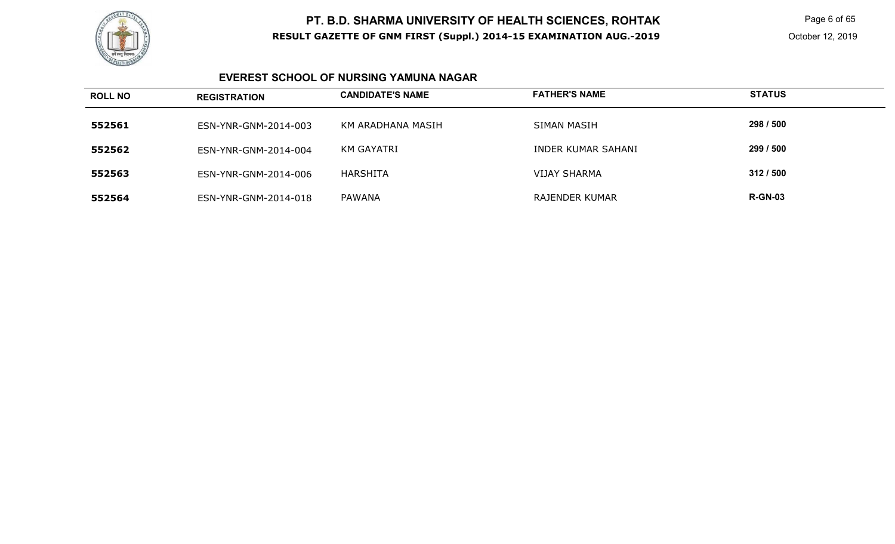

 Page 6 of 65 October 12, 2019

### **EVEREST SCHOOL OF NURSING YAMUNA NAGAR**

| <b>ROLL NO</b> | <b>REGISTRATION</b>  | <b>CANDIDATE'S NAME</b> | <b>FATHER'S NAME</b>  | <b>STATUS</b>  |
|----------------|----------------------|-------------------------|-----------------------|----------------|
| 552561         | ESN-YNR-GNM-2014-003 | KM ARADHANA MASIH       | SIMAN MASIH           | 298 / 500      |
| 552562         | ESN-YNR-GNM-2014-004 | KM GAYATRI              | INDER KUMAR SAHANI    | 299 / 500      |
| 552563         | ESN-YNR-GNM-2014-006 | <b>HARSHITA</b>         | <b>VIJAY SHARMA</b>   | 312/500        |
| 552564         | ESN-YNR-GNM-2014-018 | PAWANA                  | <b>RAJENDER KUMAR</b> | <b>R-GN-03</b> |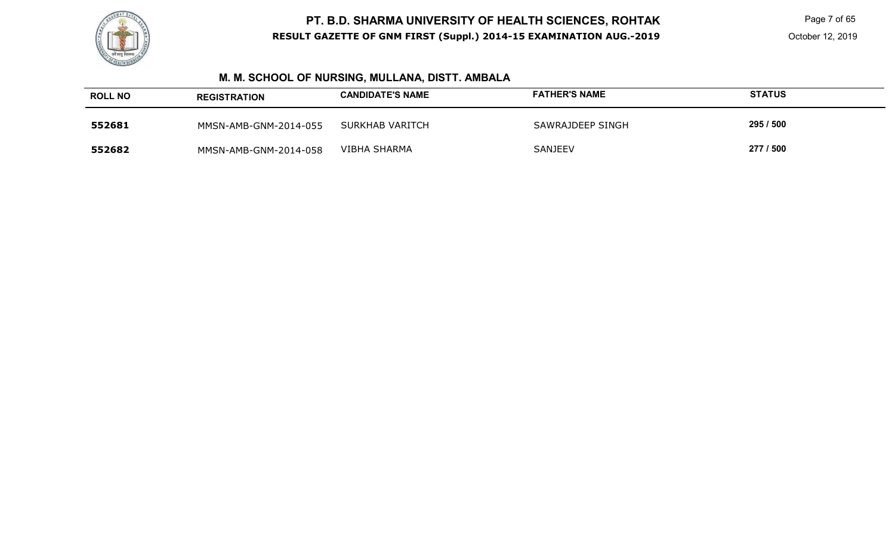

 Page 7 of 65 October 12, 2019

# **M. M. SCHOOL OF NURSING, MULLANA, DISTT. AMBALA**

| <b>ROLL NO</b> | <b>REGISTRATION</b>   | <b>CANDIDATE'S NAME</b> | <b>FATHER'S NAME</b> | <b>STATUS</b> |
|----------------|-----------------------|-------------------------|----------------------|---------------|
| 552681         | MMSN-AMB-GNM-2014-055 | SURKHAB VARITCH         | SAWRAJDEEP SINGH     | 295 / 500     |
| 552682         | MMSN-AMB-GNM-2014-058 | VIBHA SHARMA            | <b>SANJEEV</b>       | 277 / 500     |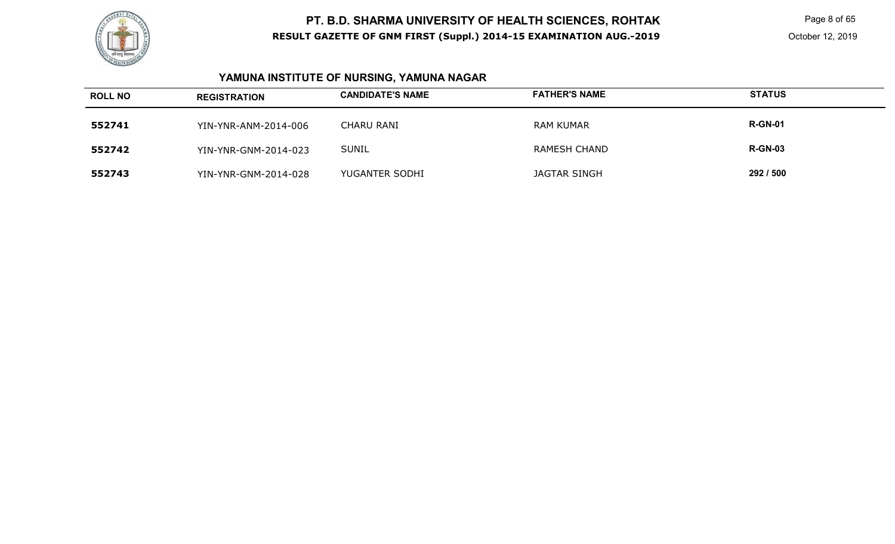

 Page 8 of 65 October 12, 2019

# **YAMUNA INSTITUTE OF NURSING, YAMUNA NAGAR**

| <b>ROLL NO</b> | <b>REGISTRATION</b>  | <b>CANDIDATE'S NAME</b> | <b>FATHER'S NAME</b> | <b>STATUS</b>  |
|----------------|----------------------|-------------------------|----------------------|----------------|
| 552741         | YIN-YNR-ANM-2014-006 | CHARU RANI              | <b>RAM KUMAR</b>     | <b>R-GN-01</b> |
| 552742         | YIN-YNR-GNM-2014-023 | <b>SUNIL</b>            | <b>RAMESH CHAND</b>  | <b>R-GN-03</b> |
| 552743         | YIN-YNR-GNM-2014-028 | YUGANTER SODHI          | <b>JAGTAR SINGH</b>  | 292 / 500      |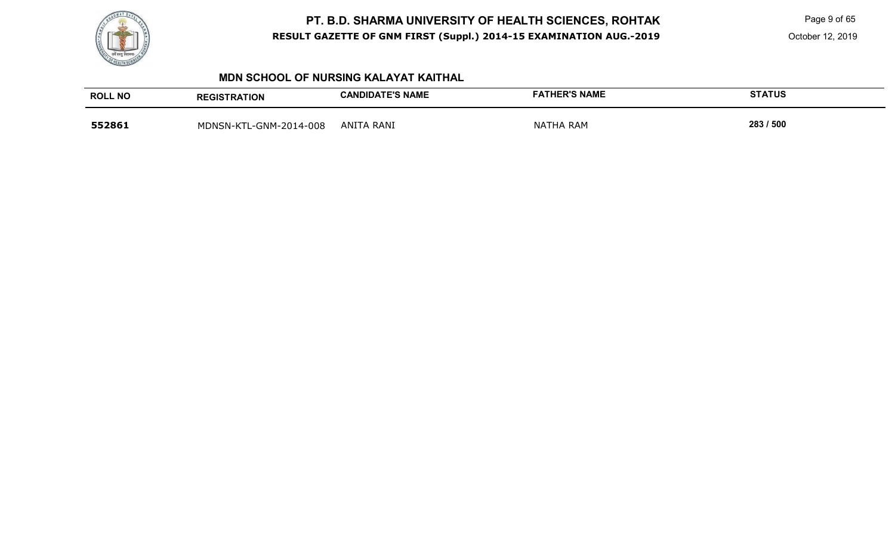

Page 9 of 65

### **MDN SCHOOL OF NURSING KALAYAT KAITHAL**

| <b>ROLL NO</b> | <b>REGISTRATION</b>    | <b>CANDIDATE'S NAME</b> | <b>FATHER'S NAME</b> | <b>STATUS</b> |
|----------------|------------------------|-------------------------|----------------------|---------------|
| 552861         | MDNSN-KTL-GNM-2014-008 | <b>ANITA RANI</b>       | <b>NATHA RAM</b>     | 283 / 500     |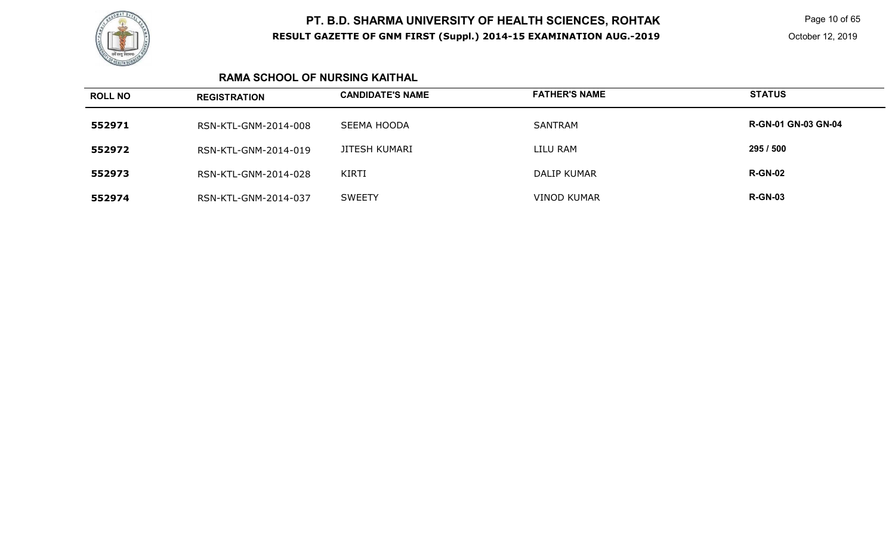

 Page 10 of 65 October 12, 2019

### **RAMA SCHOOL OF NURSING KAITHAL**

| <b>ROLL NO</b> | <b>REGISTRATION</b>  | <b>CANDIDATE'S NAME</b> | <b>FATHER'S NAME</b> | <b>STATUS</b>              |
|----------------|----------------------|-------------------------|----------------------|----------------------------|
| 552971         | RSN-KTL-GNM-2014-008 | SEEMA HOODA             | <b>SANTRAM</b>       | <b>R-GN-01 GN-03 GN-04</b> |
| 552972         | RSN-KTL-GNM-2014-019 | <b>JITESH KUMARI</b>    | LILU RAM             | 295 / 500                  |
| 552973         | RSN-KTL-GNM-2014-028 | KIRTI                   | <b>DALIP KUMAR</b>   | <b>R-GN-02</b>             |
| 552974         | RSN-KTL-GNM-2014-037 | <b>SWEETY</b>           | <b>VINOD KUMAR</b>   | <b>R-GN-03</b>             |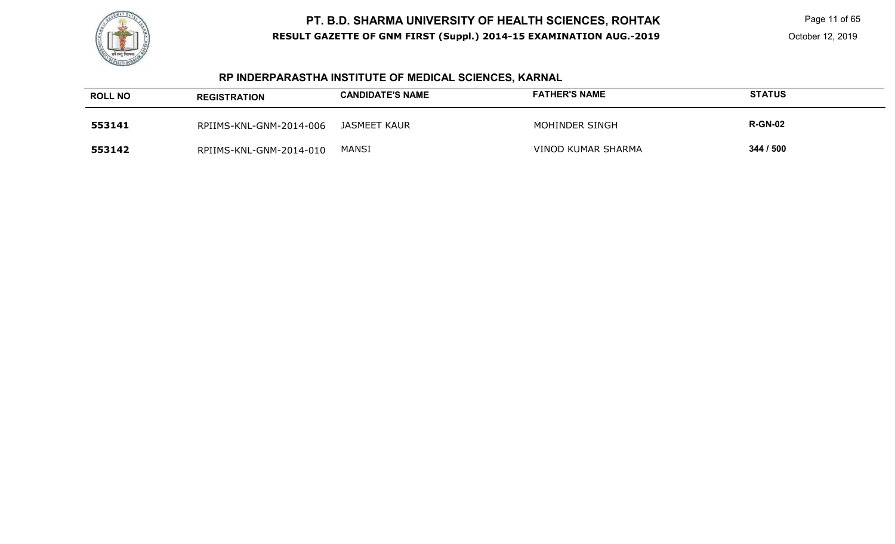

 Page 11 of 65 October 12, 2019

# **RP INDERPARASTHA INSTITUTE OF MEDICAL SCIENCES, KARNAL**

| <b>ROLL NO</b> | <b>REGISTRATION</b>     | <b>CANDIDATE'S NAME</b> | <b>FATHER'S NAME</b> | <b>STATUS</b>  |
|----------------|-------------------------|-------------------------|----------------------|----------------|
| 553141         | RPIIMS-KNL-GNM-2014-006 | JASMEET KAUR            | MOHINDER SINGH       | <b>R-GN-02</b> |
| 553142         | RPIIMS-KNL-GNM-2014-010 | <b>MANSI</b>            | VINOD KUMAR SHARMA   | 344 / 500      |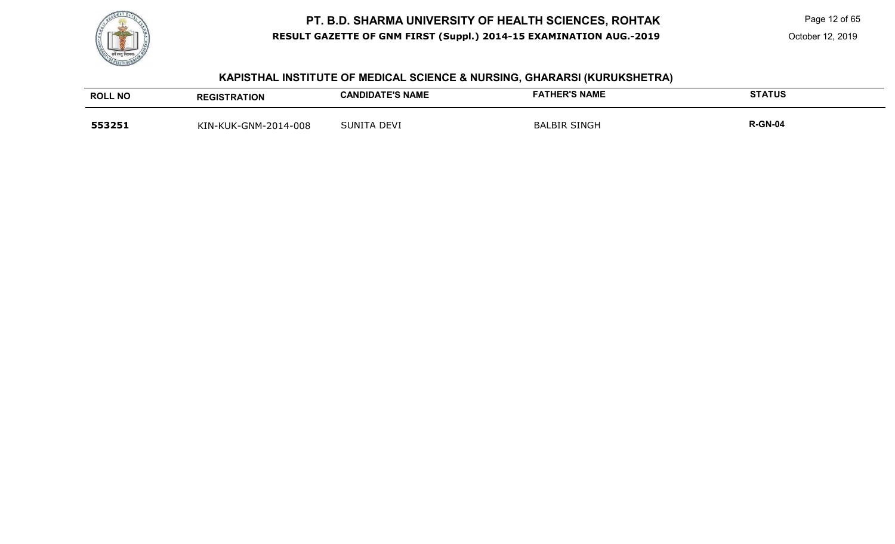

Page 12 of 65

#### **KAPISTHAL INSTITUTE OF MEDICAL SCIENCE & NURSING, GHARARSI (KURUKSHETRA)**

| <b>ROLL NO</b> | <b>REGISTRATION</b>  | <b>CANDIDATE'S NAME</b> | <b>FATHER'S NAME</b> | <b>STATUS</b>  |
|----------------|----------------------|-------------------------|----------------------|----------------|
| 553251         | KIN-KUK-GNM-2014-008 | SUNITA DEVI             | <b>BALBIR SINGH</b>  | <b>R-GN-04</b> |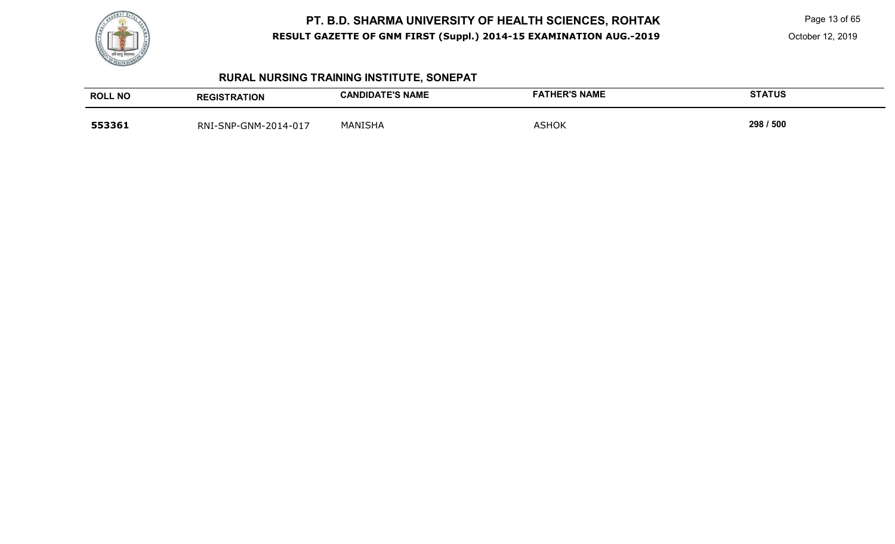

Page 13 of 65

October 12, 2019

# **RURAL NURSING TRAINING INSTITUTE, SONEPAT**

| <b>ROLL NO</b> | <b>REGISTRATION</b>  | <b>CANDIDATE'S NAME</b> | <b>FATHER'S NAME</b> | <b>STATUS</b> |
|----------------|----------------------|-------------------------|----------------------|---------------|
| 553361         | RNI-SNP-GNM-2014-017 | <b>MANISHA</b>          | <b>ASHOK</b>         | 298 / 500     |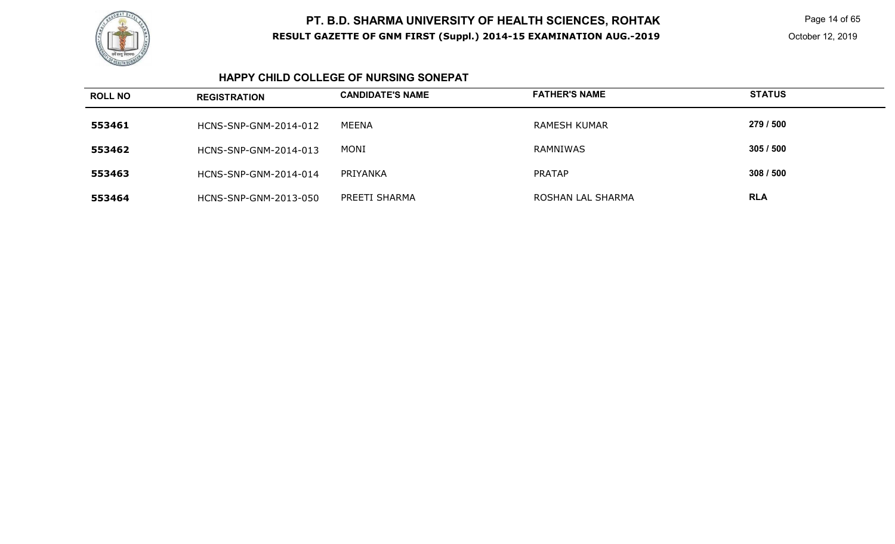

 Page 14 of 65 October 12, 2019

### **HAPPY CHILD COLLEGE OF NURSING SONEPAT**

| <b>ROLL NO</b> | <b>REGISTRATION</b>   | <b>CANDIDATE'S NAME</b> | <b>FATHER'S NAME</b> | <b>STATUS</b> |
|----------------|-----------------------|-------------------------|----------------------|---------------|
| 553461         | HCNS-SNP-GNM-2014-012 | MEENA                   | <b>RAMESH KUMAR</b>  | 279 / 500     |
| 553462         | HCNS-SNP-GNM-2014-013 | MONI                    | RAMNIWAS             | 305/500       |
| 553463         | HCNS-SNP-GNM-2014-014 | PRIYANKA                | <b>PRATAP</b>        | 308/500       |
| 553464         | HCNS-SNP-GNM-2013-050 | PREETI SHARMA           | ROSHAN LAL SHARMA    | <b>RLA</b>    |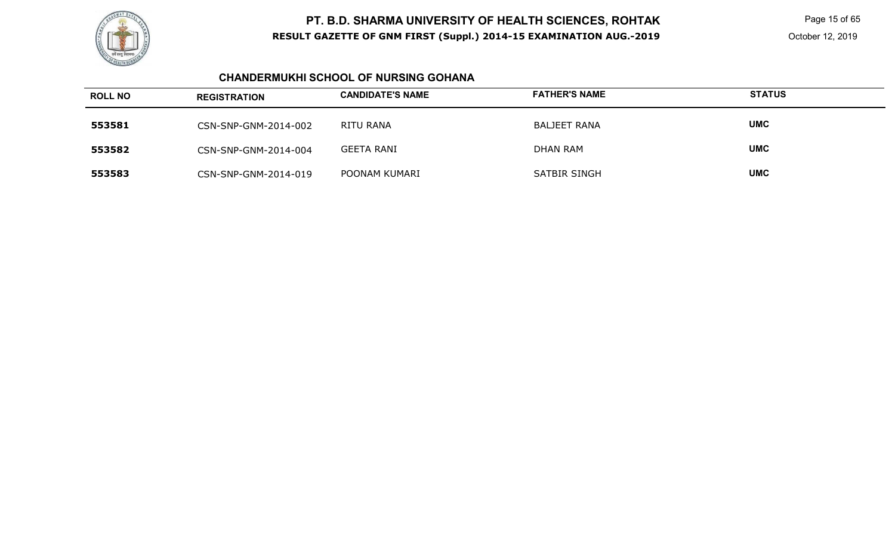

 Page 15 of 65 October 12, 2019

### **CHANDERMUKHI SCHOOL OF NURSING GOHANA**

| <b>ROLL NO</b> | <b>REGISTRATION</b>  | <b>CANDIDATE'S NAME</b> | <b>FATHER'S NAME</b> | <b>STATUS</b> |
|----------------|----------------------|-------------------------|----------------------|---------------|
| 553581         | CSN-SNP-GNM-2014-002 | RITU RANA               | <b>BALJEET RANA</b>  | <b>UMC</b>    |
| 553582         | CSN-SNP-GNM-2014-004 | <b>GEETA RANI</b>       | <b>DHAN RAM</b>      | <b>UMC</b>    |
| 553583         | CSN-SNP-GNM-2014-019 | POONAM KUMARI           | SATBIR SINGH         | <b>UMC</b>    |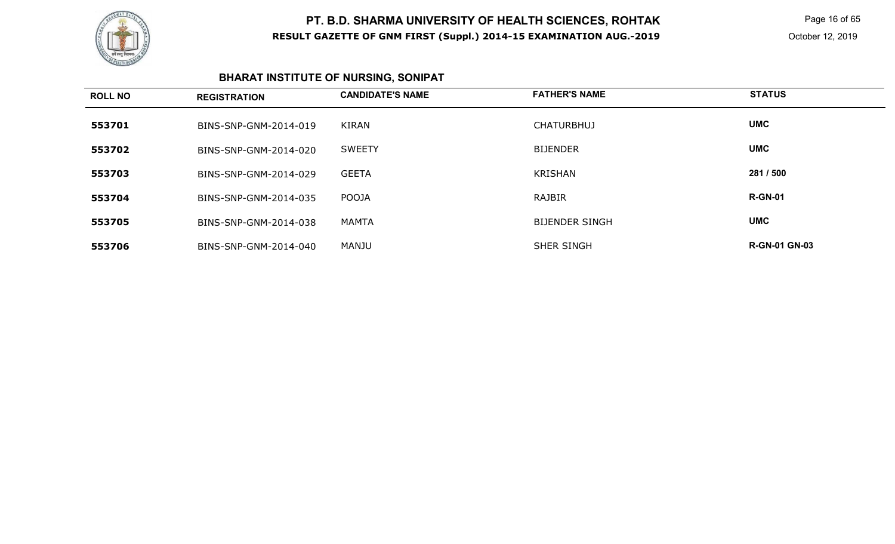

 Page 16 of 65 October 12, 2019

# **BHARAT INSTITUTE OF NURSING, SONIPAT**

| <b>ROLL NO</b> | <b>REGISTRATION</b>   | <b>CANDIDATE'S NAME</b> | <b>FATHER'S NAME</b>  | <b>STATUS</b>        |
|----------------|-----------------------|-------------------------|-----------------------|----------------------|
| 553701         | BINS-SNP-GNM-2014-019 | KIRAN                   | <b>CHATURBHUJ</b>     | <b>UMC</b>           |
| 553702         | BINS-SNP-GNM-2014-020 | <b>SWEETY</b>           | <b>BIJENDER</b>       | <b>UMC</b>           |
| 553703         | BINS-SNP-GNM-2014-029 | <b>GEETA</b>            | KRISHAN               | 281 / 500            |
| 553704         | BINS-SNP-GNM-2014-035 | <b>POOJA</b>            | <b>RAJBIR</b>         | <b>R-GN-01</b>       |
| 553705         | BINS-SNP-GNM-2014-038 | MAMTA                   | <b>BIJENDER SINGH</b> | <b>UMC</b>           |
| 553706         | BINS-SNP-GNM-2014-040 | MANJU                   | SHER SINGH            | <b>R-GN-01 GN-03</b> |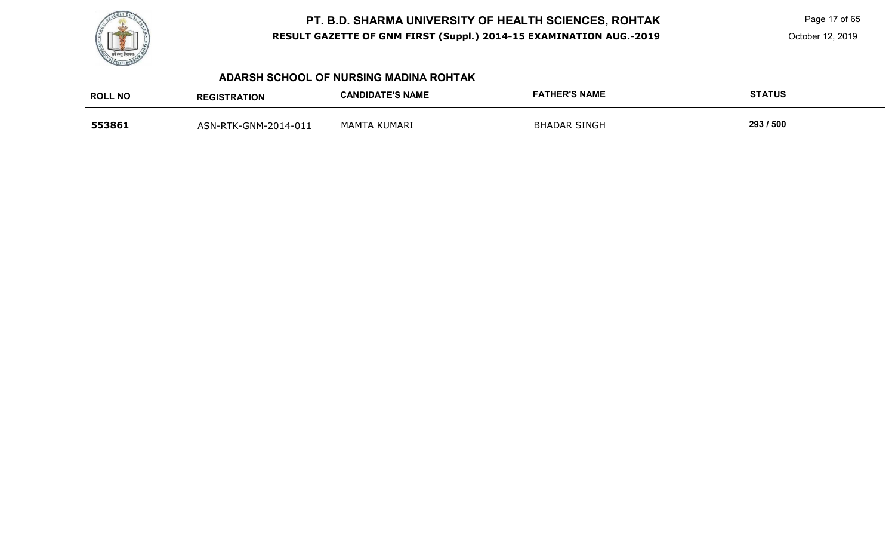

Page 17 of 65

October 12, 2019

### **ADARSH SCHOOL OF NURSING MADINA ROHTAK**

| <b>ROLL NO</b> | <b>REGISTRATION</b>  | <b>CANDIDATE'S NAME</b> | <b>FATHER'S NAME</b> | <b>STATUS</b> |
|----------------|----------------------|-------------------------|----------------------|---------------|
| 553861         | ASN-RTK-GNM-2014-011 | MAMTA KUMARI            | <b>BHADAR SINGH</b>  | 293 / 500     |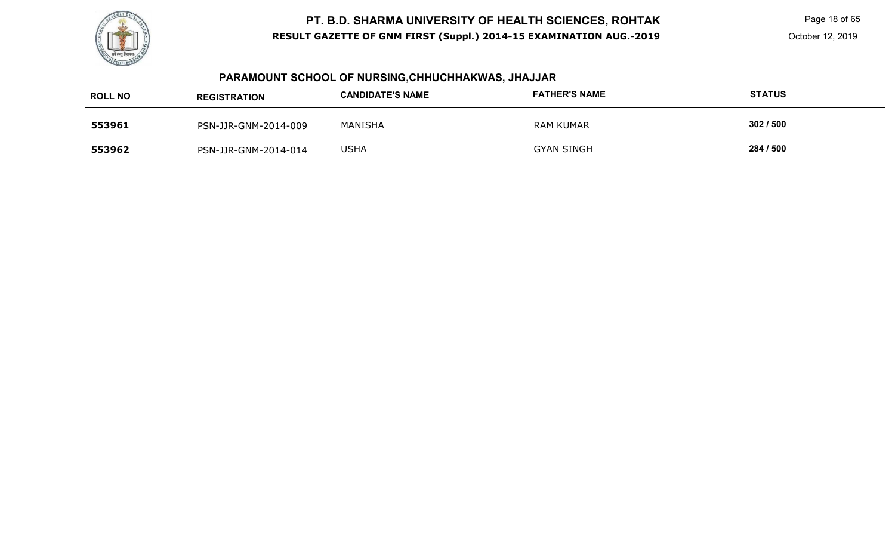

Page 18 of 65

October 12, 2019

# **PARAMOUNT SCHOOL OF NURSING,CHHUCHHAKWAS, JHAJJAR**

| <b>ROLL NO</b> | <b>REGISTRATION</b>  | <b>CANDIDATE'S NAME</b> | <b>FATHER'S NAME</b> | <b>STATUS</b> |
|----------------|----------------------|-------------------------|----------------------|---------------|
| 553961         | PSN-JJR-GNM-2014-009 | <b>MANISHA</b>          | RAM KUMAR            | 302/500       |
| 553962         | PSN-JJR-GNM-2014-014 | USHA                    | GYAN SINGH           | 284 / 500     |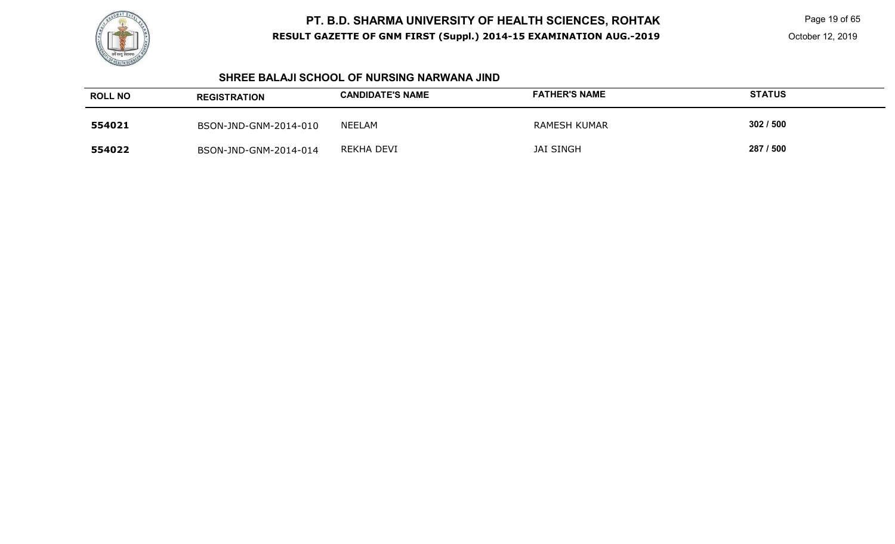

Page 19 of 65

#### **SHREE BALAJI SCHOOL OF NURSING NARWANA JIND**

| <b>ROLL NO</b> | <b>REGISTRATION</b>   | <b>CANDIDATE'S NAME</b> | <b>FATHER'S NAME</b> | <b>STATUS</b> |
|----------------|-----------------------|-------------------------|----------------------|---------------|
| 554021         | BSON-JND-GNM-2014-010 | NEELAM                  | RAMESH KUMAR         | 302/500       |
| 554022         | BSON-JND-GNM-2014-014 | REKHA DEVI              | <b>JAI SINGH</b>     | 287 / 500     |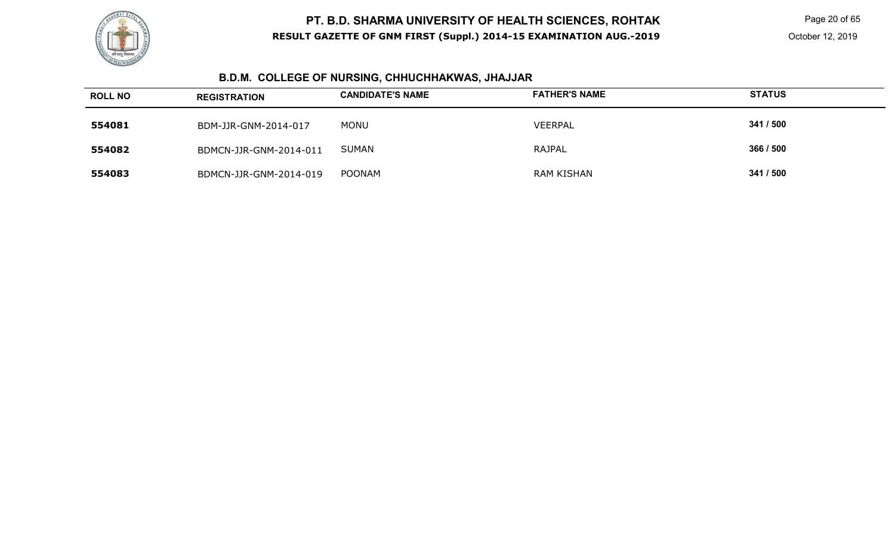

Page 20 of 65

# **B.D.M. COLLEGE OF NURSING, CHHUCHHAKWAS, JHAJJAR**

| <b>ROLL NO</b> | <b>REGISTRATION</b>    | <b>CANDIDATE'S NAME</b> | <b>FATHER'S NAME</b> | <b>STATUS</b> |
|----------------|------------------------|-------------------------|----------------------|---------------|
| 554081         | BDM-JJR-GNM-2014-017   | <b>MONU</b>             | <b>VEERPAL</b>       | 341 / 500     |
| 554082         | BDMCN-JJR-GNM-2014-011 | SUMAN                   | RAJPAL               | 366 / 500     |
| 554083         | BDMCN-JJR-GNM-2014-019 | <b>POONAM</b>           | RAM KISHAN           | 341 / 500     |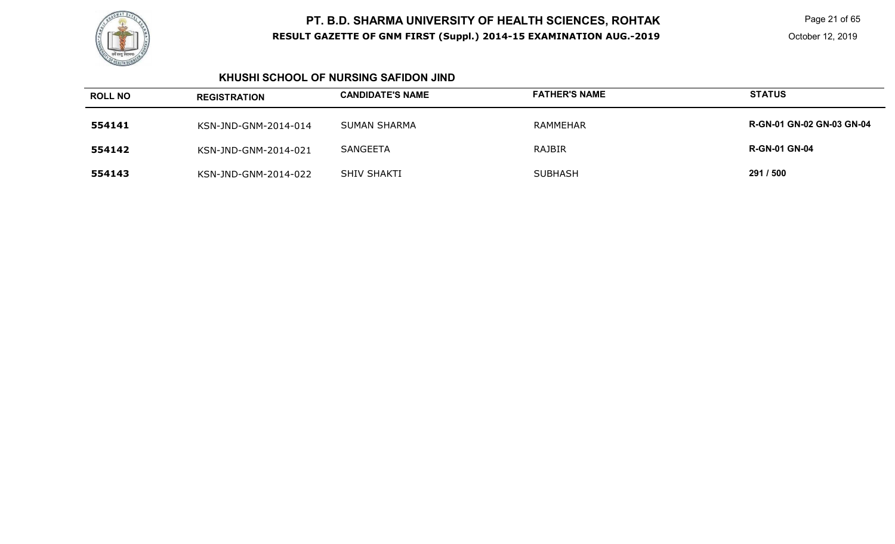

Page 21 of 65

### **KHUSHI SCHOOL OF NURSING SAFIDON JIND**

| <b>ROLL NO</b> | <b>REGISTRATION</b>  | <b>CANDIDATE'S NAME</b> | <b>FATHER'S NAME</b> | <b>STATUS</b>                    |
|----------------|----------------------|-------------------------|----------------------|----------------------------------|
| 554141         | KSN-JND-GNM-2014-014 | <b>SUMAN SHARMA</b>     | RAMMEHAR             | <b>R-GN-01 GN-02 GN-03 GN-04</b> |
| 554142         | KSN-JND-GNM-2014-021 | <b>SANGEETA</b>         | <b>RAJBIR</b>        | <b>R-GN-01 GN-04</b>             |
| 554143         | KSN-JND-GNM-2014-022 | SHIV SHAKTI             | <b>SUBHASH</b>       | 291 / 500                        |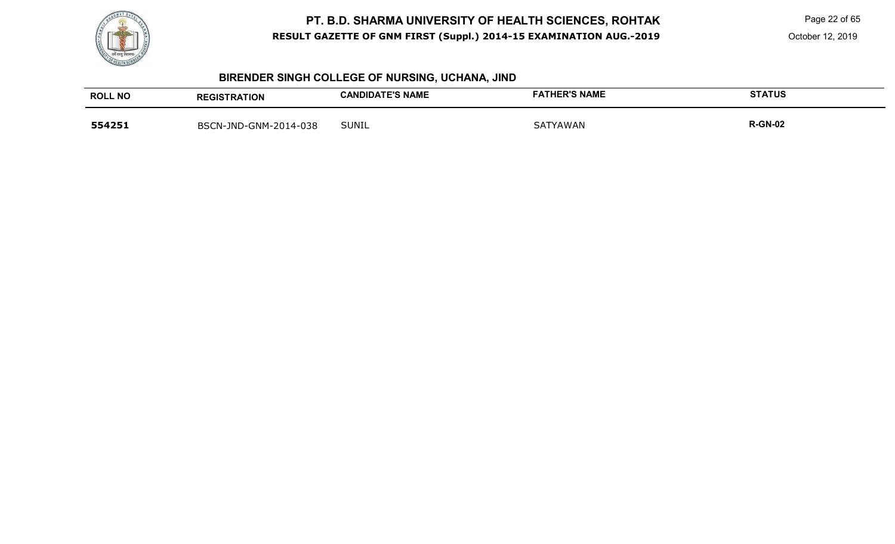

Page 22 of 65

# **BIRENDER SINGH COLLEGE OF NURSING, UCHANA, JIND**

| <b>ROLL NO</b> | <b>REGISTRATION</b>   | <b>CANDIDATE'S NAME</b> | <b>FATHER'S NAME</b> | <b>STATUS</b>  |
|----------------|-----------------------|-------------------------|----------------------|----------------|
| 554251         | BSCN-JND-GNM-2014-038 | <b>SUNIL</b>            | <b>SATYAWAN</b>      | <b>R-GN-02</b> |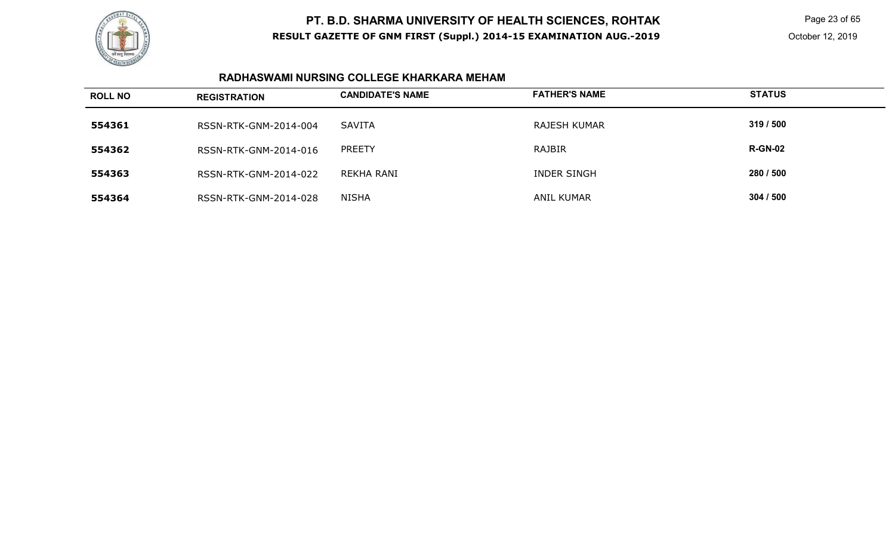

Page 23 of 65

October 12, 2019

### **RADHASWAMI NURSING COLLEGE KHARKARA MEHAM**

| <b>ROLL NO</b> | <b>REGISTRATION</b>   | <b>CANDIDATE'S NAME</b> | <b>FATHER'S NAME</b> | <b>STATUS</b>  |
|----------------|-----------------------|-------------------------|----------------------|----------------|
| 554361         | RSSN-RTK-GNM-2014-004 | SAVITA                  | RAJESH KUMAR         | 319/500        |
| 554362         | RSSN-RTK-GNM-2014-016 | <b>PREETY</b>           | RAJBIR               | <b>R-GN-02</b> |
| 554363         | RSSN-RTK-GNM-2014-022 | REKHA RANI              | <b>INDER SINGH</b>   | 280 / 500      |
| 554364         | RSSN-RTK-GNM-2014-028 | NISHA                   | <b>ANIL KUMAR</b>    | 304 / 500      |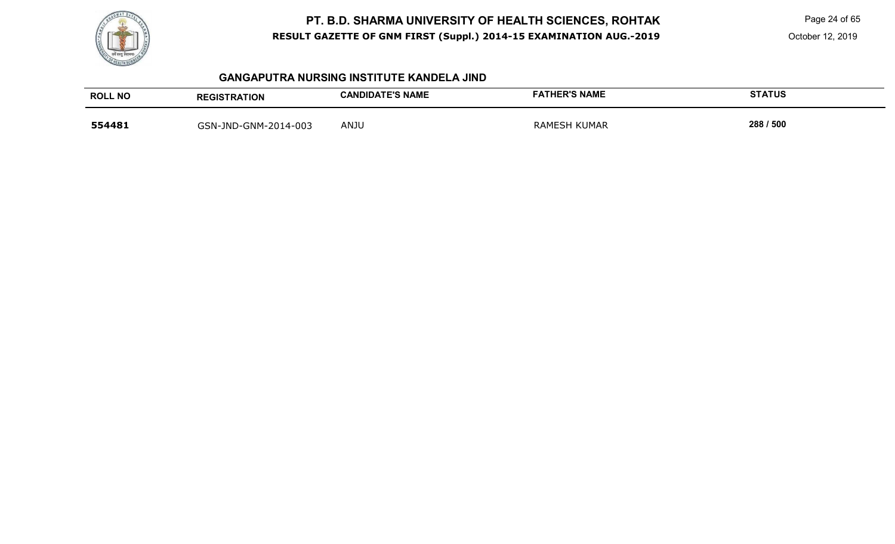

Page 24 of 65

October 12, 2019

#### **GANGAPUTRA NURSING INSTITUTE KANDELA JIND**

| <b>ROLL NO</b> | <b>REGISTRATION</b>  | <b>CANDIDATE'S NAME</b> | <b>FATHER'S NAME</b> | <b>STATUS</b> |
|----------------|----------------------|-------------------------|----------------------|---------------|
| 554481         | GSN-JND-GNM-2014-003 | ANJU                    | <b>RAMESH KUMAR</b>  | 288 / 500     |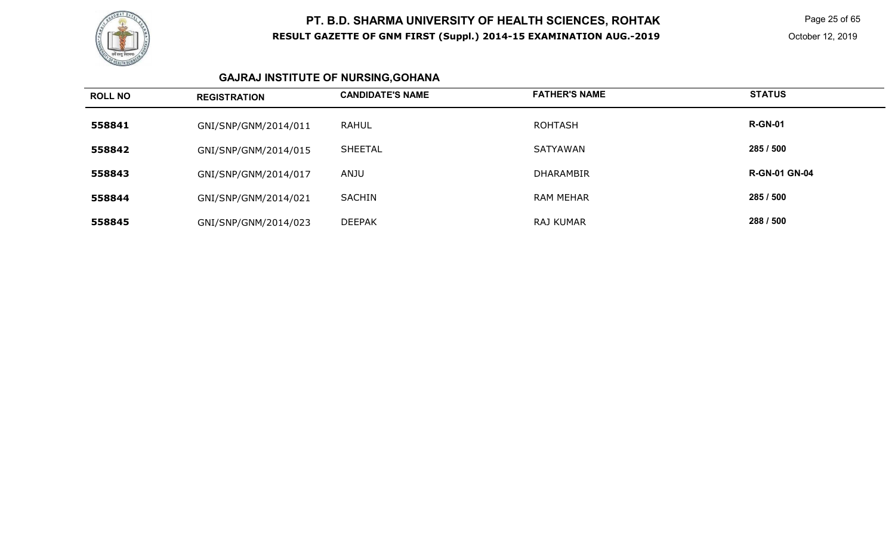

 Page 25 of 65 October 12, 2019

# **GAJRAJ INSTITUTE OF NURSING,GOHANA**

| <b>ROLL NO</b> | <b>REGISTRATION</b>  | <b>CANDIDATE'S NAME</b> | <b>FATHER'S NAME</b> | <b>STATUS</b>        |
|----------------|----------------------|-------------------------|----------------------|----------------------|
| 558841         | GNI/SNP/GNM/2014/011 | <b>RAHUL</b>            | <b>ROHTASH</b>       | <b>R-GN-01</b>       |
| 558842         | GNI/SNP/GNM/2014/015 | <b>SHEETAL</b>          | <b>SATYAWAN</b>      | 285 / 500            |
| 558843         | GNI/SNP/GNM/2014/017 | ANJU                    | <b>DHARAMBIR</b>     | <b>R-GN-01 GN-04</b> |
| 558844         | GNI/SNP/GNM/2014/021 | <b>SACHIN</b>           | <b>RAM MEHAR</b>     | 285 / 500            |
| 558845         | GNI/SNP/GNM/2014/023 | <b>DEEPAK</b>           | <b>RAJ KUMAR</b>     | 288 / 500            |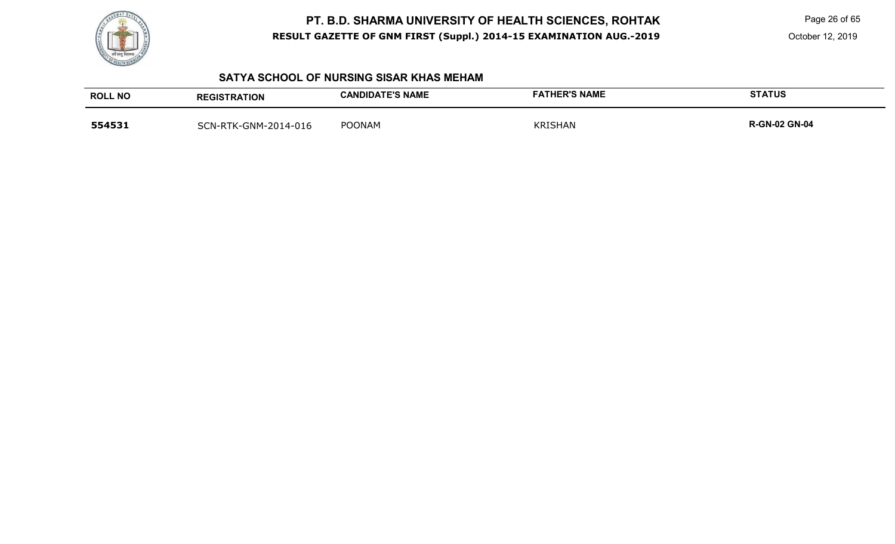

Page 26 of 65

October 12, 2019

### **SATYA SCHOOL OF NURSING SISAR KHAS MEHAM**

| <b>ROLL NO</b> | <b>REGISTRATION</b>  | <b>CANDIDATE'S NAME</b> | <b>FATHER'S NAME</b> | <b>STATUS</b>        |
|----------------|----------------------|-------------------------|----------------------|----------------------|
| 554531         | SCN-RTK-GNM-2014-016 | <b>POONAM</b>           | <b>KRISHAN</b>       | <b>R-GN-02 GN-04</b> |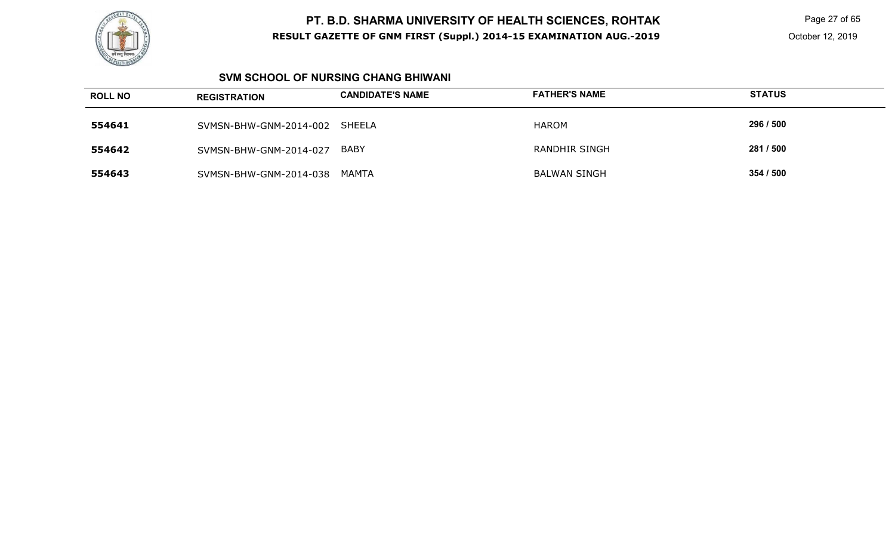

 Page 27 of 65 October 12, 2019

### **SVM SCHOOL OF NURSING CHANG BHIWANI**

| <b>ROLL NO</b> | <b>REGISTRATION</b>    | <b>CANDIDATE'S NAME</b> | <b>FATHER'S NAME</b> | <b>STATUS</b> |
|----------------|------------------------|-------------------------|----------------------|---------------|
| 554641         | SVMSN-BHW-GNM-2014-002 | SHEELA                  | HAROM                | 296 / 500     |
| 554642         | SVMSN-BHW-GNM-2014-027 | BABY                    | <b>RANDHIR SINGH</b> | 281 / 500     |
| 554643         | SVMSN-BHW-GNM-2014-038 | MAMTA                   | <b>BALWAN SINGH</b>  | 354 / 500     |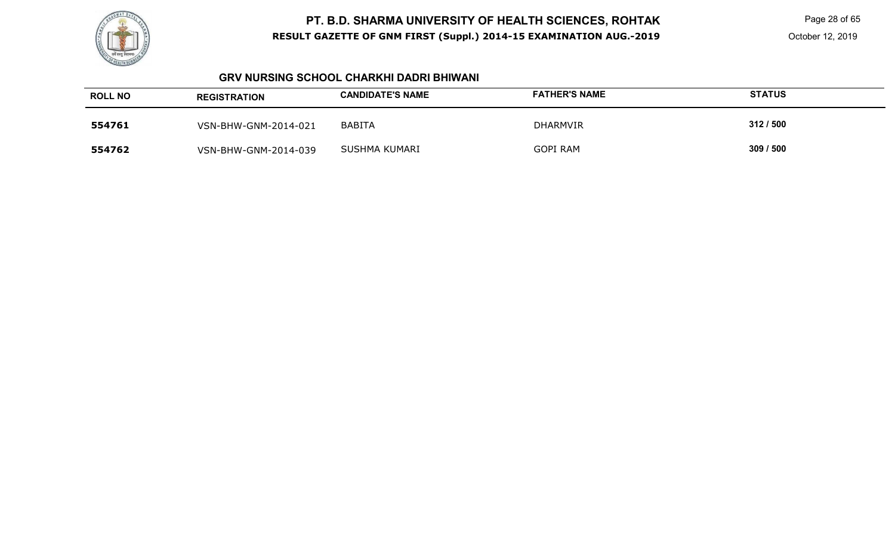

Page 28 of 65

### **GRV NURSING SCHOOL CHARKHI DADRI BHIWANI**

| <b>ROLL NO</b> | <b>REGISTRATION</b>  | <b>CANDIDATE'S NAME</b> | <b>FATHER'S NAME</b> | <b>STATUS</b> |
|----------------|----------------------|-------------------------|----------------------|---------------|
| 554761         | VSN-BHW-GNM-2014-021 | BABITA                  | <b>DHARMVIR</b>      | 312/500       |
| 554762         | VSN-BHW-GNM-2014-039 | SUSHMA KUMARI           | <b>GOPI RAM</b>      | 309 / 500     |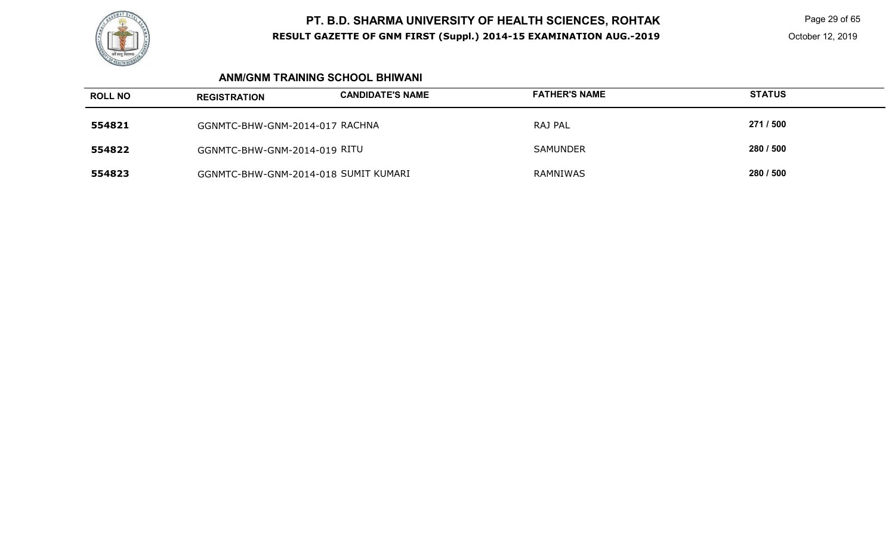

Page 29 of 65

October 12, 2019

### **ANM/GNM TRAINING SCHOOL BHIWANI**

| <b>ROLL NO</b> | <b>REGISTRATION</b>                  | <b>CANDIDATE'S NAME</b> | <b>FATHER'S NAME</b> | <b>STATUS</b> |
|----------------|--------------------------------------|-------------------------|----------------------|---------------|
| 554821         | GGNMTC-BHW-GNM-2014-017 RACHNA       |                         | RAJ PAL              | 271 / 500     |
| 554822         | GGNMTC-BHW-GNM-2014-019 RITU         |                         | <b>SAMUNDER</b>      | 280 / 500     |
| 554823         | GGNMTC-BHW-GNM-2014-018 SUMIT KUMARI |                         | RAMNIWAS             | 280 / 500     |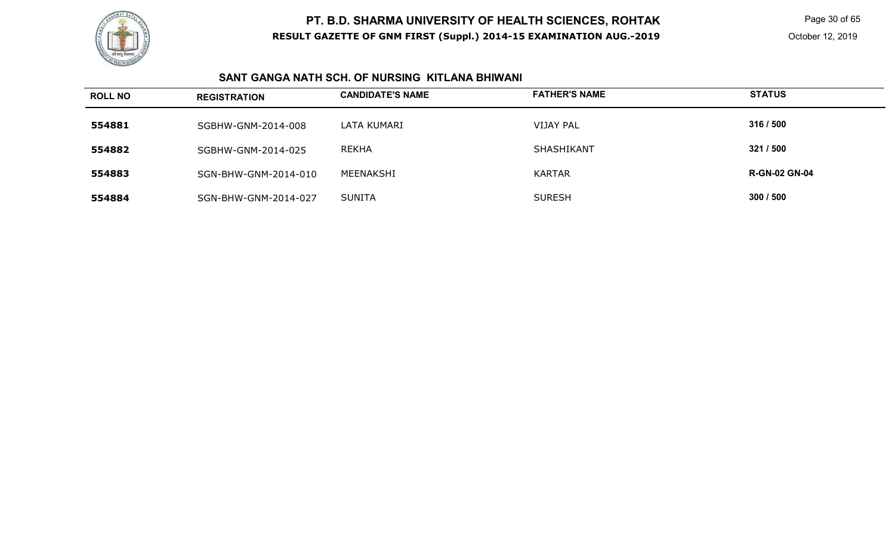

Page 30 of 65

### **SANT GANGA NATH SCH. OF NURSING KITLANA BHIWANI**

| <b>ROLL NO</b> | <b>REGISTRATION</b>  | <b>CANDIDATE'S NAME</b> | <b>FATHER'S NAME</b> | <b>STATUS</b>        |
|----------------|----------------------|-------------------------|----------------------|----------------------|
| 554881         | SGBHW-GNM-2014-008   | LATA KUMARI             | <b>VIJAY PAL</b>     | 316 / 500            |
| 554882         | SGBHW-GNM-2014-025   | REKHA                   | SHASHIKANT           | 321 / 500            |
| 554883         | SGN-BHW-GNM-2014-010 | MEENAKSHI               | <b>KARTAR</b>        | <b>R-GN-02 GN-04</b> |
| 554884         | SGN-BHW-GNM-2014-027 | <b>SUNITA</b>           | <b>SURESH</b>        | 300 / 500            |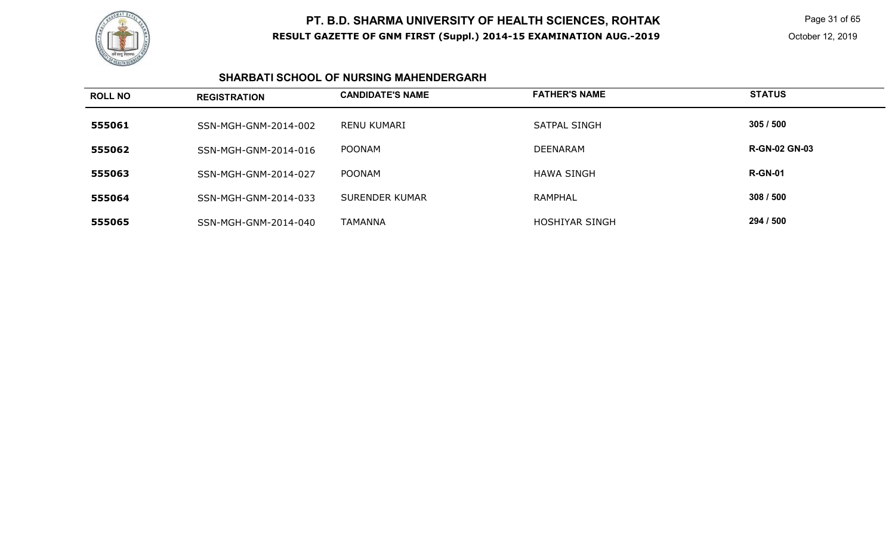

 Page 31 of 65 October 12, 2019

### **SHARBATI SCHOOL OF NURSING MAHENDERGARH**

| <b>ROLL NO</b> | <b>REGISTRATION</b>  | <b>CANDIDATE'S NAME</b> | <b>FATHER'S NAME</b> | <b>STATUS</b>        |
|----------------|----------------------|-------------------------|----------------------|----------------------|
| 555061         | SSN-MGH-GNM-2014-002 | RENU KUMARI             | <b>SATPAL SINGH</b>  | 305/500              |
| 555062         | SSN-MGH-GNM-2014-016 | POONAM                  | <b>DEENARAM</b>      | <b>R-GN-02 GN-03</b> |
| 555063         | SSN-MGH-GNM-2014-027 | <b>POONAM</b>           | <b>HAWA SINGH</b>    | <b>R-GN-01</b>       |
| 555064         | SSN-MGH-GNM-2014-033 | SURENDER KUMAR          | <b>RAMPHAL</b>       | 308/500              |
| 555065         | SSN-MGH-GNM-2014-040 | TAMANNA                 | HOSHIYAR SINGH       | 294 / 500            |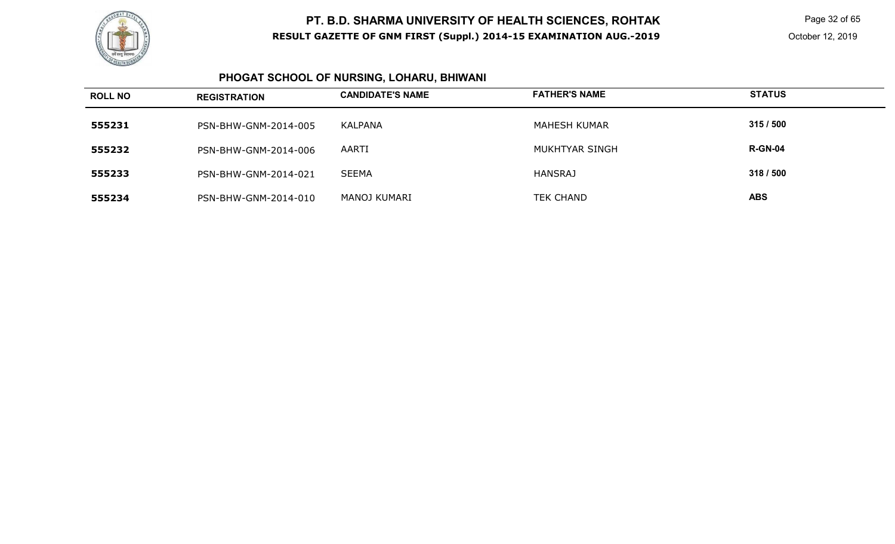

 Page 32 of 65 October 12, 2019

#### **PHOGAT SCHOOL OF NURSING, LOHARU, BHIWANI**

| <b>ROLL NO</b> | <b>REGISTRATION</b>  | <b>CANDIDATE'S NAME</b> | <b>FATHER'S NAME</b> | <b>STATUS</b>  |
|----------------|----------------------|-------------------------|----------------------|----------------|
| 555231         | PSN-BHW-GNM-2014-005 | KALPANA                 | MAHESH KUMAR         | 315/500        |
| 555232         | PSN-BHW-GNM-2014-006 | AARTI                   | MUKHTYAR SINGH       | <b>R-GN-04</b> |
| 555233         | PSN-BHW-GNM-2014-021 | SEEMA                   | <b>HANSRAJ</b>       | 318 / 500      |
| 555234         | PSN-BHW-GNM-2014-010 | MANOJ KUMARI            | <b>TEK CHAND</b>     | <b>ABS</b>     |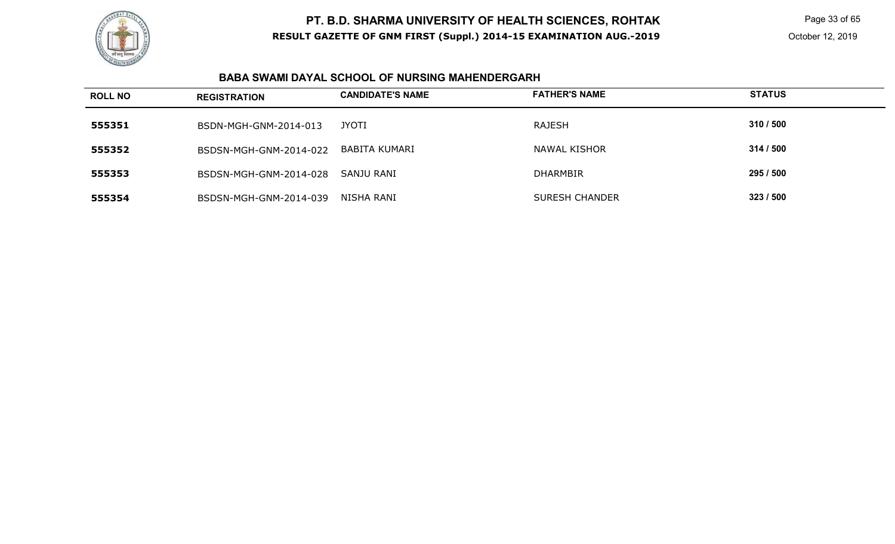

Page 33 of 65

### **BABA SWAMI DAYAL SCHOOL OF NURSING MAHENDERGARH**

| <b>ROLL NO</b> | <b>REGISTRATION</b>    | <b>CANDIDATE'S NAME</b> | <b>FATHER'S NAME</b>  | <b>STATUS</b> |
|----------------|------------------------|-------------------------|-----------------------|---------------|
| 555351         | BSDN-MGH-GNM-2014-013  | JYOTI                   | <b>RAJESH</b>         | 310 / 500     |
| 555352         | BSDSN-MGH-GNM-2014-022 | BABITA KUMARI           | NAWAL KISHOR          | 314/500       |
| 555353         | BSDSN-MGH-GNM-2014-028 | SANJU RANI              | <b>DHARMBIR</b>       | 295 / 500     |
| 555354         | BSDSN-MGH-GNM-2014-039 | NISHA RANI              | <b>SURESH CHANDER</b> | 323 / 500     |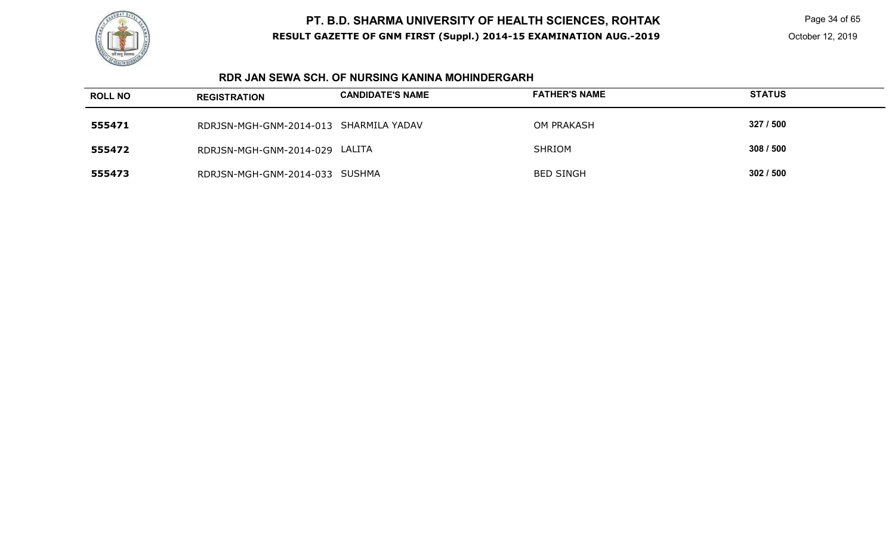

Page 34 of 65

#### **RDR JAN SEWA SCH. OF NURSING KANINA MOHINDERGARH**

| <b>ROLL NO</b> | <b>REGISTRATION</b>                    | <b>CANDIDATE'S NAME</b> | <b>FATHER'S NAME</b> | <b>STATUS</b> |
|----------------|----------------------------------------|-------------------------|----------------------|---------------|
| 555471         | RDRJSN-MGH-GNM-2014-013 SHARMILA YADAV |                         | <b>OM PRAKASH</b>    | 327 / 500     |
| 555472         | RDRJSN-MGH-GNM-2014-029 LALITA         |                         | <b>SHRIOM</b>        | 308 / 500     |
| 555473         | RDRJSN-MGH-GNM-2014-033 SUSHMA         |                         | <b>BED SINGH</b>     | 302/500       |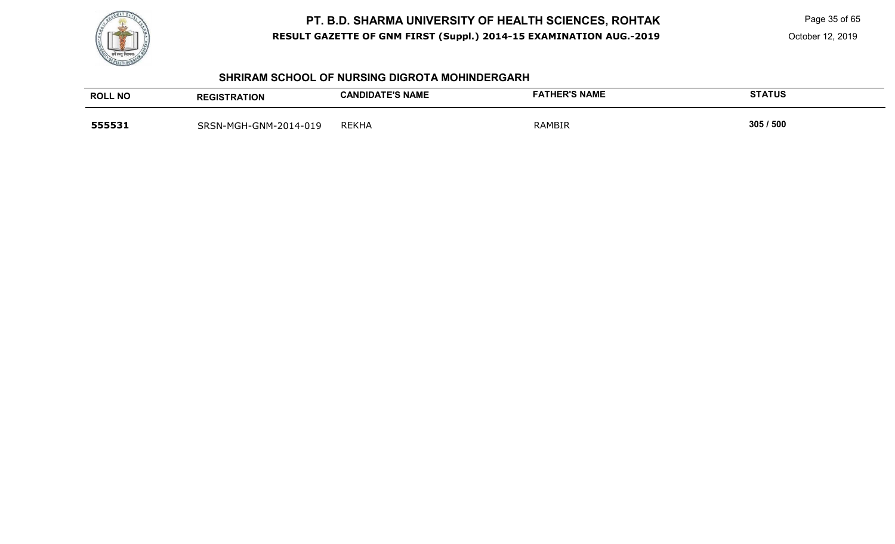

Page 35 of 65

October 12, 2019

#### **SHRIRAM SCHOOL OF NURSING DIGROTA MOHINDERGARH**

| <b>ROLL NO</b> | <b>REGISTRATION</b>   | <b>CANDIDATE'S NAME</b> | <b>FATHER'S NAME</b> | <b>STATUS</b> |
|----------------|-----------------------|-------------------------|----------------------|---------------|
| 555531         | SRSN-MGH-GNM-2014-019 | <b>REKHA</b>            | RAMBIR               | 305 / 500     |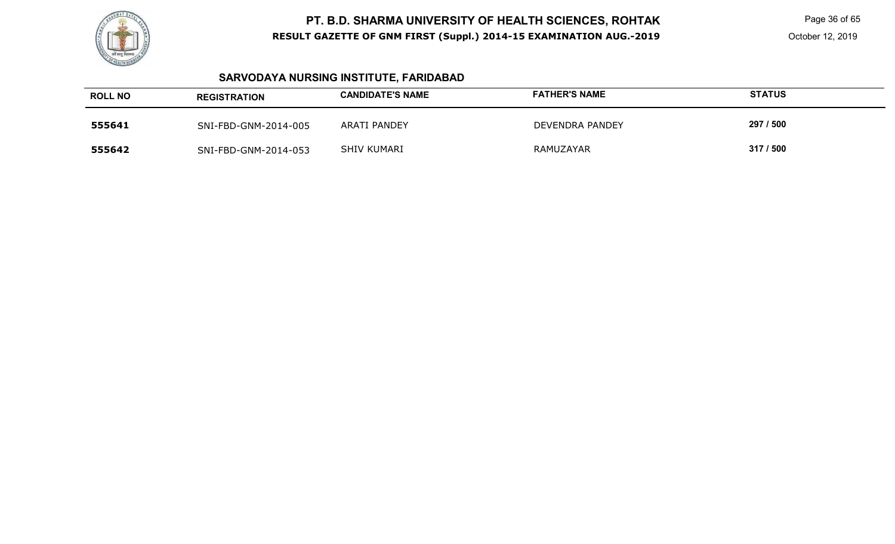

Page 36 of 65

# **SARVODAYA NURSING INSTITUTE, FARIDABAD**

| <b>ROLL NO</b> | <b>REGISTRATION</b>  | <b>CANDIDATE'S NAME</b> | <b>FATHER'S NAME</b> | <b>STATUS</b> |
|----------------|----------------------|-------------------------|----------------------|---------------|
| 555641         | SNI-FBD-GNM-2014-005 | <b>ARATI PANDEY</b>     | DEVENDRA PANDEY      | 297 / 500     |
| 555642         | SNI-FBD-GNM-2014-053 | <b>SHIV KUMARI</b>      | RAMUZAYAR            | 317/500       |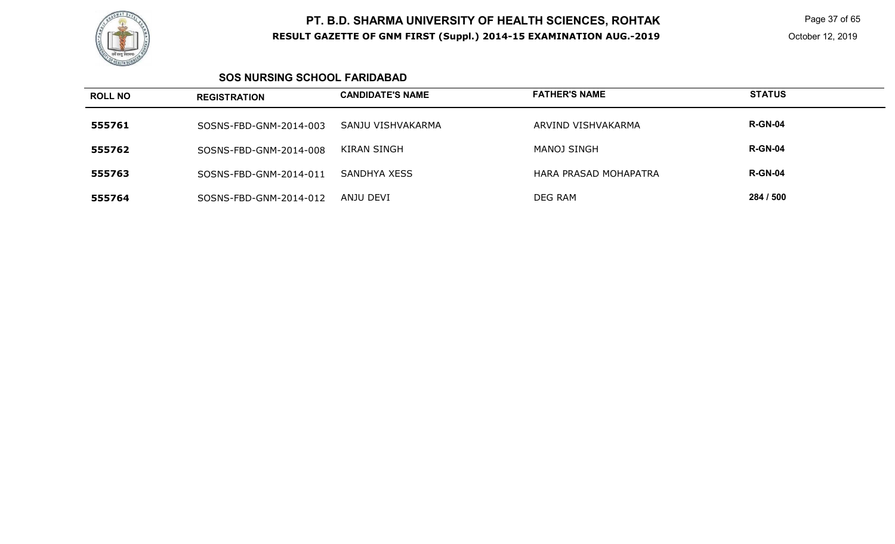

 Page 37 of 65 October 12, 2019

### **SOS NURSING SCHOOL FARIDABAD**

| <b>ROLL NO</b> | <b>REGISTRATION</b>    | <b>CANDIDATE'S NAME</b> | <b>FATHER'S NAME</b>  | <b>STATUS</b>  |
|----------------|------------------------|-------------------------|-----------------------|----------------|
| 555761         | SOSNS-FBD-GNM-2014-003 | SANJU VISHVAKARMA       | ARVIND VISHVAKARMA    | <b>R-GN-04</b> |
| 555762         | SOSNS-FBD-GNM-2014-008 | KIRAN SINGH             | MANOJ SINGH           | <b>R-GN-04</b> |
| 555763         | SOSNS-FBD-GNM-2014-011 | SANDHYA XESS            | HARA PRASAD MOHAPATRA | <b>R-GN-04</b> |
| 555764         | SOSNS-FBD-GNM-2014-012 | ANJU DEVI               | DEG RAM               | 284 / 500      |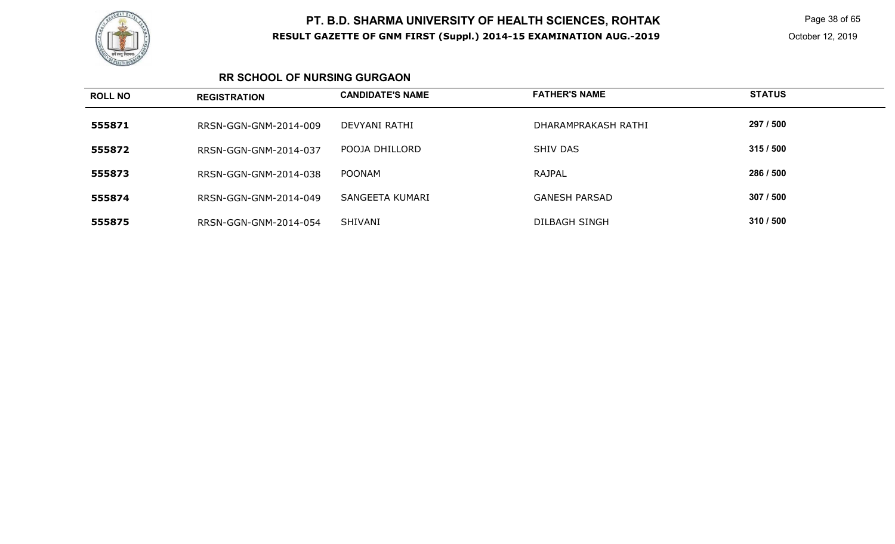

 Page 38 of 65 October 12, 2019

### **RR SCHOOL OF NURSING GURGAON**

| <b>ROLL NO</b> | <b>REGISTRATION</b>   | <b>CANDIDATE'S NAME</b> | <b>FATHER'S NAME</b> | <b>STATUS</b> |
|----------------|-----------------------|-------------------------|----------------------|---------------|
| 555871         | RRSN-GGN-GNM-2014-009 | DEVYANI RATHI           | DHARAMPRAKASH RATHI  | 297 / 500     |
| 555872         | RRSN-GGN-GNM-2014-037 | POOJA DHILLORD          | SHIV DAS             | 315/500       |
| 555873         | RRSN-GGN-GNM-2014-038 | <b>POONAM</b>           | <b>RAJPAL</b>        | 286 / 500     |
| 555874         | RRSN-GGN-GNM-2014-049 | SANGEETA KUMARI         | <b>GANESH PARSAD</b> | 307 / 500     |
| 555875         | RRSN-GGN-GNM-2014-054 | SHIVANI                 | DILBAGH SINGH        | 310 / 500     |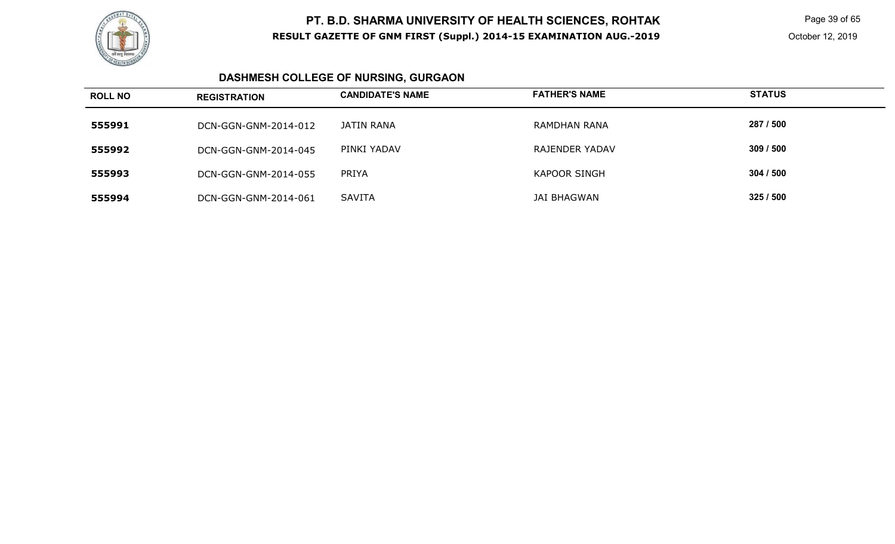

 Page 39 of 65 October 12, 2019

# **DASHMESH COLLEGE OF NURSING, GURGAON**

| <b>ROLL NO</b> | <b>REGISTRATION</b>  | <b>CANDIDATE'S NAME</b> | <b>FATHER'S NAME</b> | <b>STATUS</b> |
|----------------|----------------------|-------------------------|----------------------|---------------|
| 555991         | DCN-GGN-GNM-2014-012 | JATIN RANA              | RAMDHAN RANA         | 287 / 500     |
| 555992         | DCN-GGN-GNM-2014-045 | PINKI YADAV             | RAJENDER YADAV       | 309/500       |
| 555993         | DCN-GGN-GNM-2014-055 | <b>PRIYA</b>            | <b>KAPOOR SINGH</b>  | 304/500       |
| 555994         | DCN-GGN-GNM-2014-061 | SAVITA                  | JAI BHAGWAN          | 325/500       |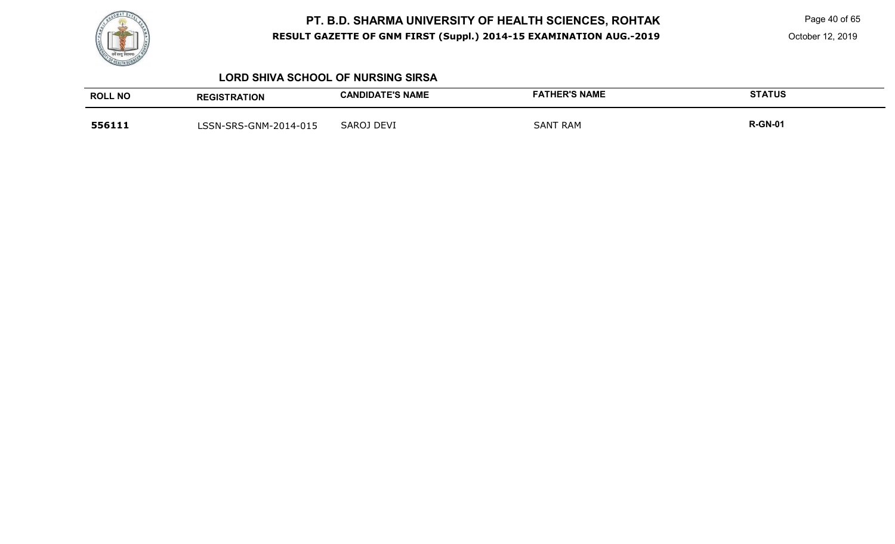

Page 40 of 65

October 12, 2019

#### **LORD SHIVA SCHOOL OF NURSING SIRSA**

| <b>ROLL NO</b> | <b>REGISTRATION</b>   | <b>CANDIDATE'S NAME</b> | <b>FATHER'S NAME</b> | <b>STATUS</b>  |
|----------------|-----------------------|-------------------------|----------------------|----------------|
| 556111         | LSSN-SRS-GNM-2014-015 | <b>SAROJ DEVI</b>       | <b>SANT RAM</b>      | <b>R-GN-01</b> |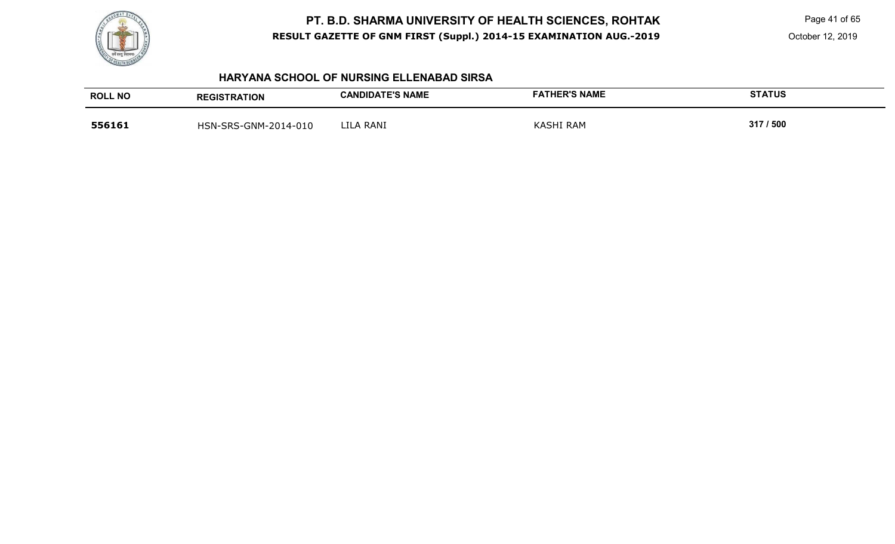

Page 41 of 65

October 12, 2019

### **HARYANA SCHOOL OF NURSING ELLENABAD SIRSA**

| <b>ROLL NO</b> | <b>REGISTRATION</b>  | <b>CANDIDATE'S NAME</b> | <b>FATHER'S NAME</b> | <b>STATUS</b> |
|----------------|----------------------|-------------------------|----------------------|---------------|
| 556161         | HSN-SRS-GNM-2014-010 | LILA RANI               | <b>KASHI RAM</b>     | 317 / 500     |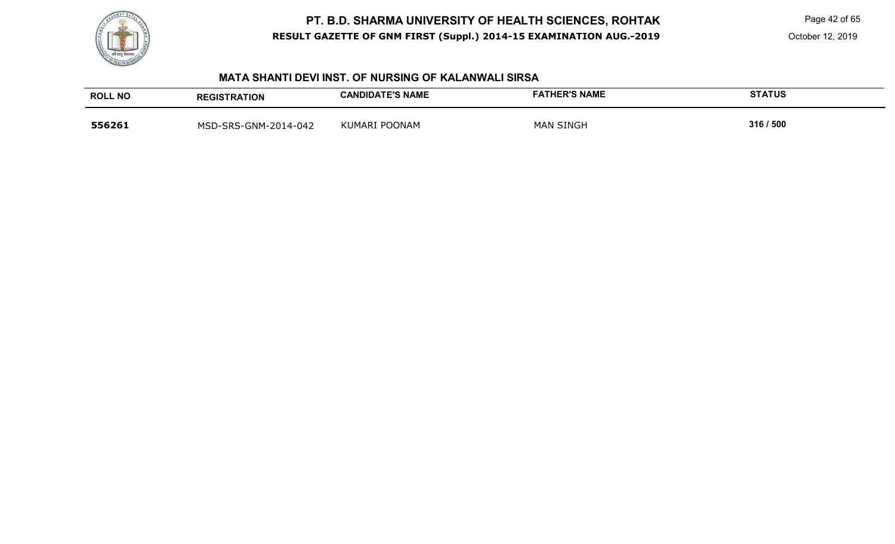

Page 42 of 65

October 12, 2019

#### **MATA SHANTI DEVI INST. OF NURSING OF KALANWALI SIRSA**

| <b>ROLL NO</b> | <b>REGISTRATION</b>  | <b>CANDIDATE'S NAME</b> | <b>FATHER'S NAME</b> | <b>STATUS</b> |
|----------------|----------------------|-------------------------|----------------------|---------------|
| 556261         | MSD-SRS-GNM-2014-042 | KUMARI POONAM           | <b>MAN SINGH</b>     | 316 / 500     |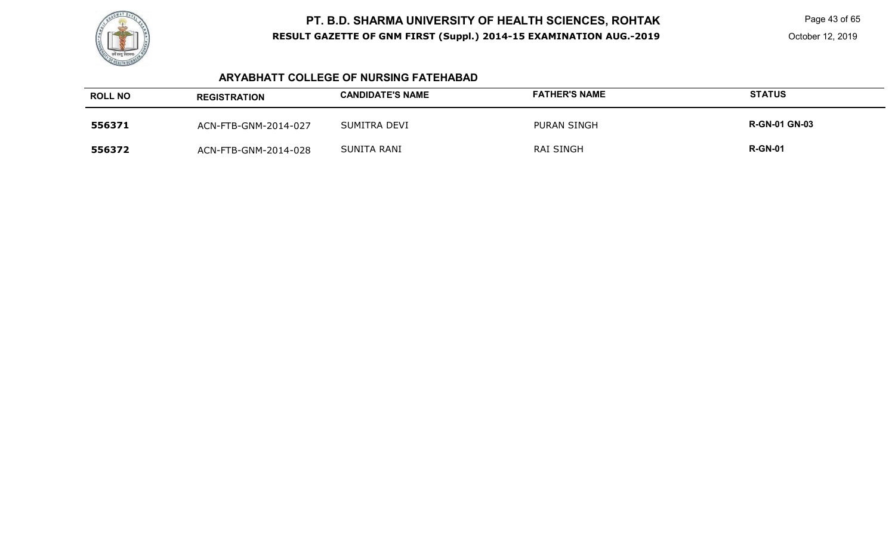

Page 43 of 65

### **ARYABHATT COLLEGE OF NURSING FATEHABAD**

| <b>ROLL NO</b> | <b>REGISTRATION</b>  | <b>CANDIDATE'S NAME</b> | <b>FATHER'S NAME</b> | <b>STATUS</b>        |
|----------------|----------------------|-------------------------|----------------------|----------------------|
| 556371         | ACN-FTB-GNM-2014-027 | SUMITRA DEVI            | <b>PURAN SINGH</b>   | <b>R-GN-01 GN-03</b> |
| 556372         | ACN-FTB-GNM-2014-028 | SUNITA RANI             | <b>RAI SINGH</b>     | <b>R-GN-01</b>       |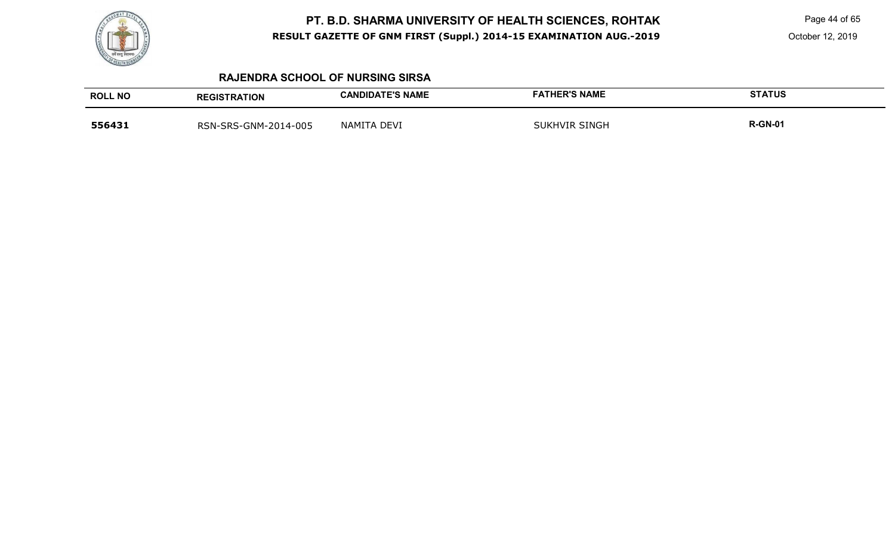

Page 44 of 65

October 12, 2019

### **RAJENDRA SCHOOL OF NURSING SIRSA**

| <b>ROLL NO</b> | <b>REGISTRATION</b>  | <b>CANDIDATE'S NAME</b> | <b>FATHER'S NAME</b> | <b>STATUS</b>  |
|----------------|----------------------|-------------------------|----------------------|----------------|
| 556431         | RSN-SRS-GNM-2014-005 | NAMITA DEVI             | <b>SUKHVIR SINGH</b> | <b>R-GN-01</b> |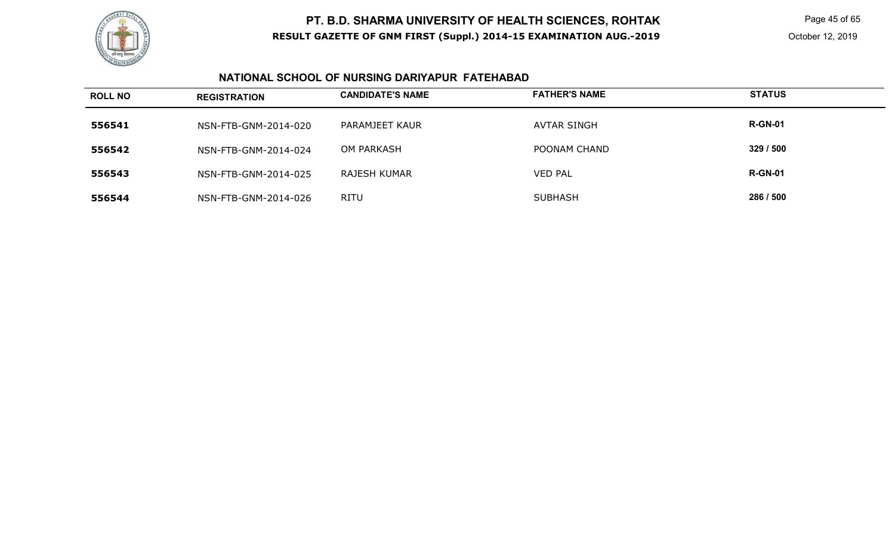

Page 45 of 65

### **NATIONAL SCHOOL OF NURSING DARIYAPUR FATEHABAD**

| <b>ROLL NO</b> | <b>REGISTRATION</b>  | <b>CANDIDATE'S NAME</b> | <b>FATHER'S NAME</b> | <b>STATUS</b>  |
|----------------|----------------------|-------------------------|----------------------|----------------|
| 556541         | NSN-FTB-GNM-2014-020 | PARAMJEET KAUR          | <b>AVTAR SINGH</b>   | <b>R-GN-01</b> |
| 556542         | NSN-FTB-GNM-2014-024 | OM PARKASH              | POONAM CHAND         | 329/500        |
| 556543         | NSN-FTB-GNM-2014-025 | RAJESH KUMAR            | <b>VED PAL</b>       | <b>R-GN-01</b> |
| 556544         | NSN-FTB-GNM-2014-026 | <b>RITU</b>             | <b>SUBHASH</b>       | 286 / 500      |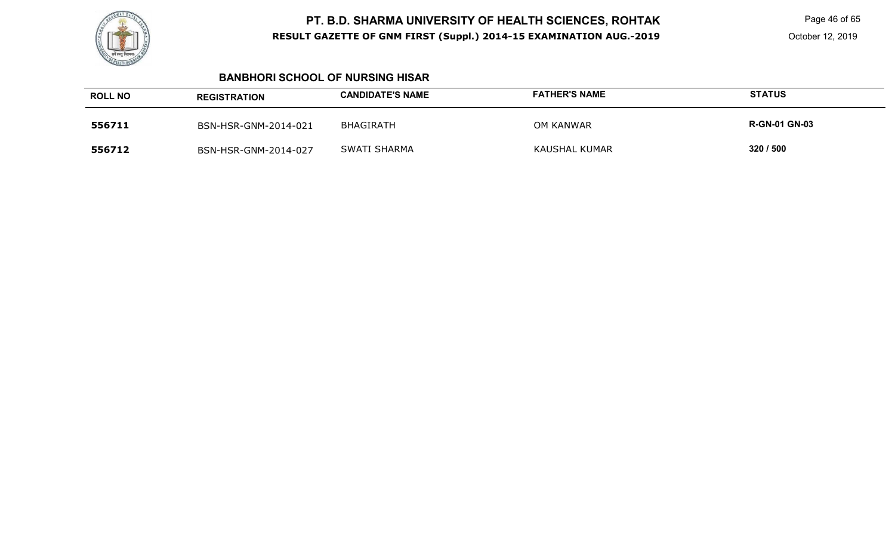

Page 46 of 65

#### **BANBHORI SCHOOL OF NURSING HISAR**

| <b>ROLL NO</b> | <b>REGISTRATION</b>  | <b>CANDIDATE'S NAME</b> | <b>FATHER'S NAME</b> | <b>STATUS</b>        |
|----------------|----------------------|-------------------------|----------------------|----------------------|
| 556711         | BSN-HSR-GNM-2014-021 | BHAGIRATH               | OM KANWAR            | <b>R-GN-01 GN-03</b> |
| 556712         | BSN-HSR-GNM-2014-027 | SWATI SHARMA            | <b>KAUSHAL KUMAR</b> | 320 / 500            |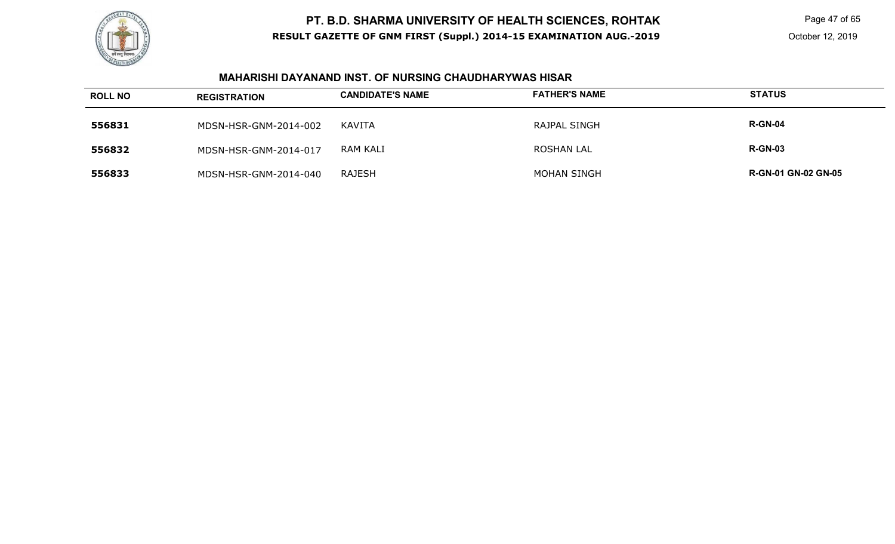

 Page 47 of 65 October 12, 2019

### **MAHARISHI DAYANAND INST. OF NURSING CHAUDHARYWAS HISAR**

| <b>ROLL NO</b> | <b>REGISTRATION</b>   | <b>CANDIDATE'S NAME</b> | <b>FATHER'S NAME</b> | <b>STATUS</b>              |
|----------------|-----------------------|-------------------------|----------------------|----------------------------|
| 556831         | MDSN-HSR-GNM-2014-002 | KAVITA                  | <b>RAJPAL SINGH</b>  | <b>R-GN-04</b>             |
| 556832         | MDSN-HSR-GNM-2014-017 | RAM KALI                | <b>ROSHAN LAL</b>    | <b>R-GN-03</b>             |
| 556833         | MDSN-HSR-GNM-2014-040 | RAJESH                  | <b>MOHAN SINGH</b>   | <b>R-GN-01 GN-02 GN-05</b> |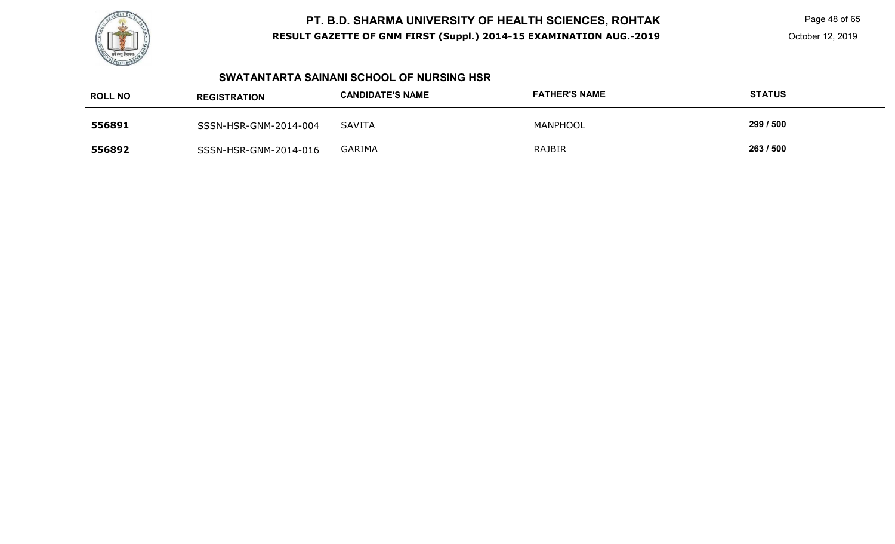

Page 48 of 65

### **SWATANTARTA SAINANI SCHOOL OF NURSING HSR**

| <b>ROLL NO</b> | <b>REGISTRATION</b>   | <b>CANDIDATE'S NAME</b> | <b>FATHER'S NAME</b> | <b>STATUS</b> |
|----------------|-----------------------|-------------------------|----------------------|---------------|
| 556891         | SSSN-HSR-GNM-2014-004 | <b>SAVITA</b>           | MANPHOOL             | 299 / 500     |
| 556892         | SSSN-HSR-GNM-2014-016 | <b>GARIMA</b>           | RAJBIR               | 263 / 500     |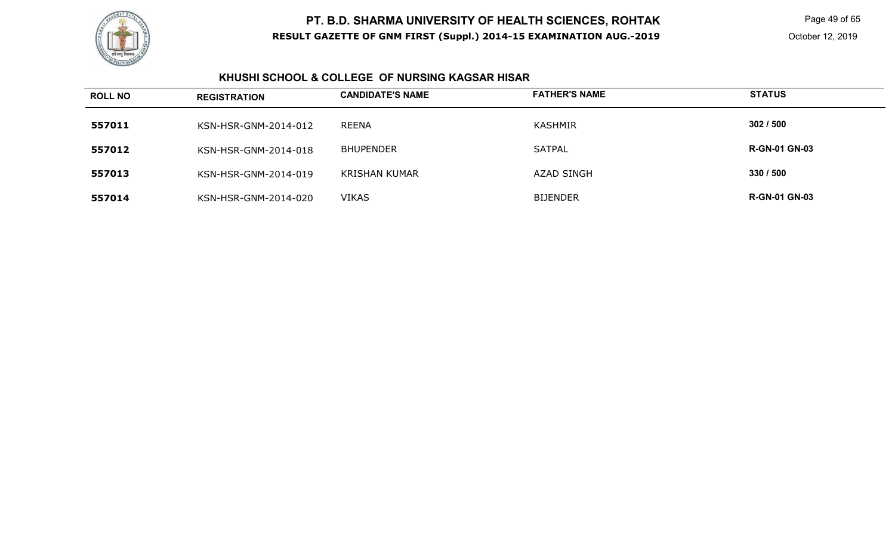

Page 49 of 65

### **KHUSHI SCHOOL & COLLEGE OF NURSING KAGSAR HISAR**

| <b>ROLL NO</b> | <b>REGISTRATION</b>  | <b>CANDIDATE'S NAME</b> | <b>FATHER'S NAME</b> | <b>STATUS</b>        |
|----------------|----------------------|-------------------------|----------------------|----------------------|
| 557011         | KSN-HSR-GNM-2014-012 | REENA                   | KASHMIR              | 302/500              |
| 557012         | KSN-HSR-GNM-2014-018 | <b>BHUPENDER</b>        | <b>SATPAL</b>        | <b>R-GN-01 GN-03</b> |
| 557013         | KSN-HSR-GNM-2014-019 | <b>KRISHAN KUMAR</b>    | <b>AZAD SINGH</b>    | 330 / 500            |
| 557014         | KSN-HSR-GNM-2014-020 | <b>VIKAS</b>            | <b>BIJENDER</b>      | <b>R-GN-01 GN-03</b> |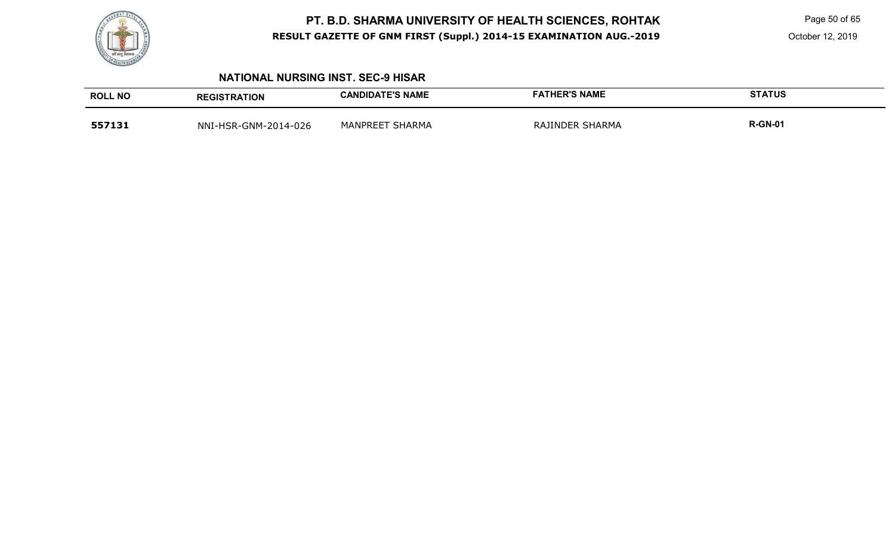

Page 50 of 65

October 12, 2019

### **NATIONAL NURSING INST. SEC-9 HISAR**

| <b>ROLL NO</b> | <b>REGISTRATION</b>  | <b>CANDIDATE'S NAME</b> | <b>FATHER'S NAME</b> | <b>STATUS</b>  |
|----------------|----------------------|-------------------------|----------------------|----------------|
| 557131         | NNI-HSR-GNM-2014-026 | <b>MANPREET SHARMA</b>  | RAJINDER SHARMA      | <b>R-GN-01</b> |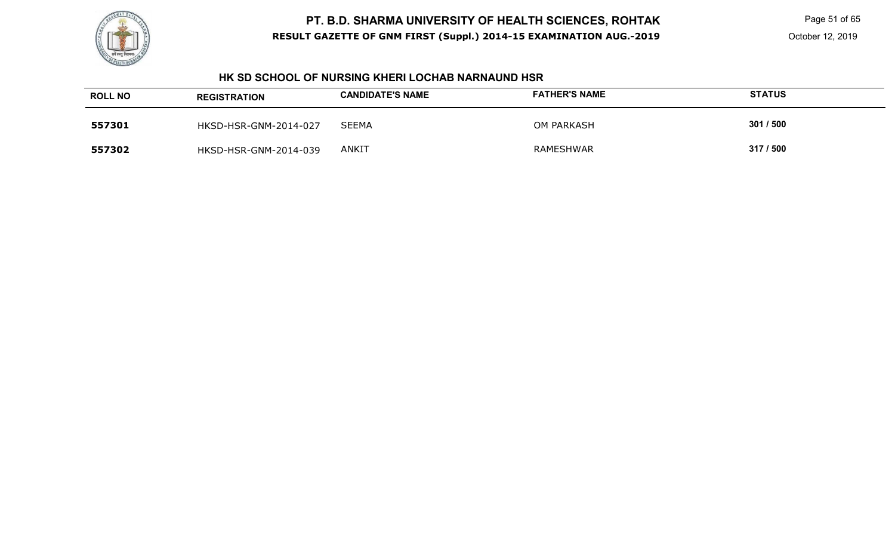

Page 51 of 65

### **HK SD SCHOOL OF NURSING KHERI LOCHAB NARNAUND HSR**

| <b>ROLL NO</b> | <b>REGISTRATION</b>   | <b>CANDIDATE'S NAME</b> | <b>FATHER'S NAME</b> | <b>STATUS</b> |
|----------------|-----------------------|-------------------------|----------------------|---------------|
| 557301         | HKSD-HSR-GNM-2014-027 | <b>SEEMA</b>            | OM PARKASH           | 301 / 500     |
| 557302         | HKSD-HSR-GNM-2014-039 | <b>ANKIT</b>            | <b>RAMESHWAR</b>     | 317/500       |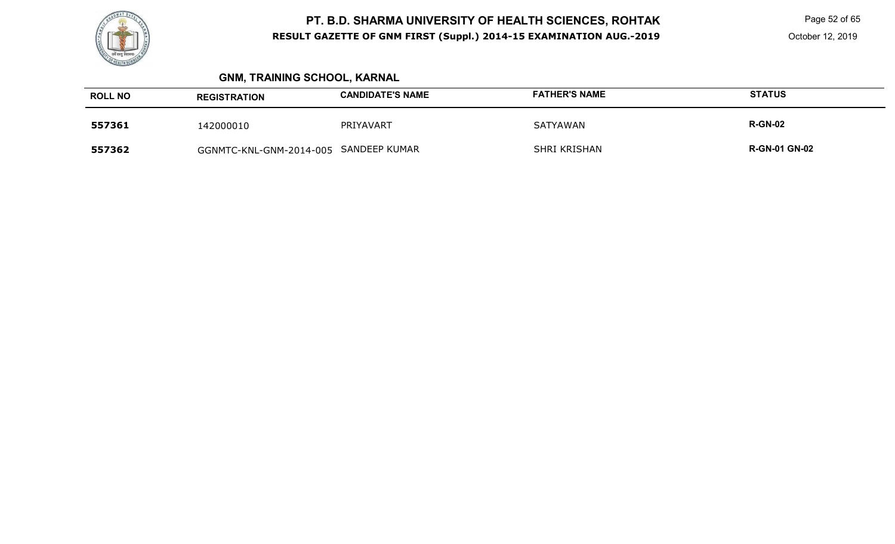

Page 52 of 65

# **GNM, TRAINING SCHOOL, KARNAL**

| <b>ROLL NO</b> | <b>REGISTRATION</b>                   | <b>CANDIDATE'S NAME</b> | <b>FATHER'S NAME</b> | <b>STATUS</b>        |
|----------------|---------------------------------------|-------------------------|----------------------|----------------------|
| 557361         | 142000010                             | PRIYAVART               | <b>SATYAWAN</b>      | <b>R-GN-02</b>       |
| 557362         | GGNMTC-KNL-GNM-2014-005 SANDEEP KUMAR |                         | <b>SHRI KRISHAN</b>  | <b>R-GN-01 GN-02</b> |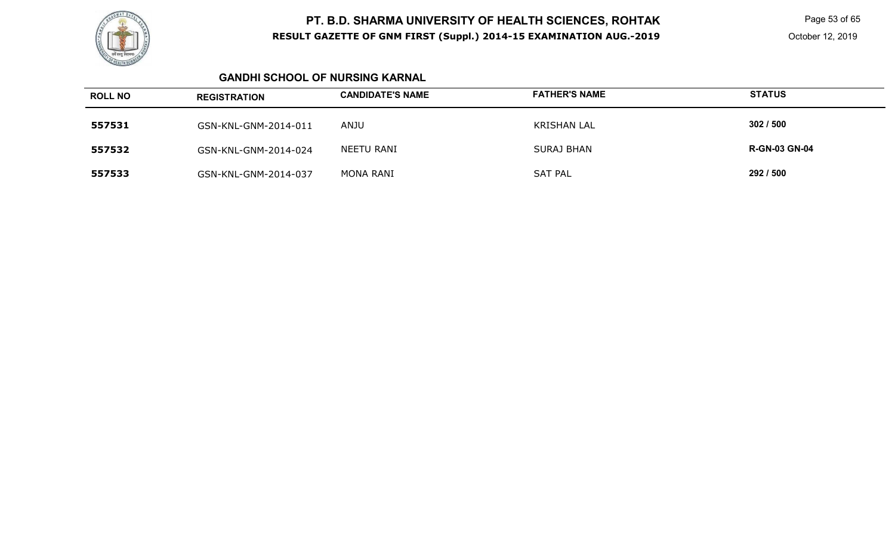

Page 53 of 65

October 12, 2019

### **GANDHI SCHOOL OF NURSING KARNAL**

| <b>ROLL NO</b> | <b>REGISTRATION</b>  | <b>CANDIDATE'S NAME</b> | <b>FATHER'S NAME</b> | <b>STATUS</b>        |
|----------------|----------------------|-------------------------|----------------------|----------------------|
| 557531         | GSN-KNL-GNM-2014-011 | ANJU                    | <b>KRISHAN LAL</b>   | 302/500              |
| 557532         | GSN-KNL-GNM-2014-024 | NEETU RANI              | <b>SURAJ BHAN</b>    | <b>R-GN-03 GN-04</b> |
| 557533         | GSN-KNL-GNM-2014-037 | MONA RANI               | <b>SAT PAL</b>       | 292 / 500            |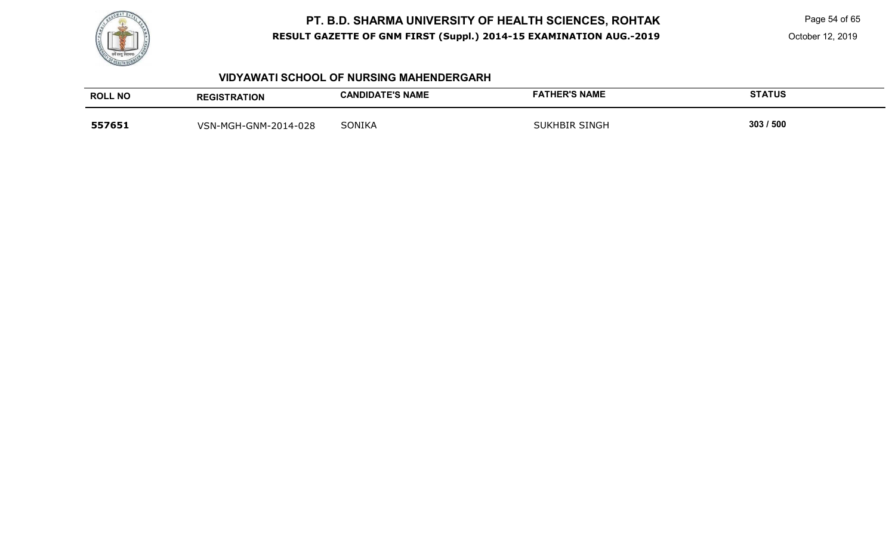

Page 54 of 65

October 12, 2019

### **VIDYAWATI SCHOOL OF NURSING MAHENDERGARH**

| <b>ROLL NO</b> | <b>REGISTRATION</b>  | <b>CANDIDATE'S NAME</b> | <b>FATHER'S NAME</b> | <b>STATUS</b> |
|----------------|----------------------|-------------------------|----------------------|---------------|
| 557651         | VSN-MGH-GNM-2014-028 | <b>SONIKA</b>           | <b>SUKHBIR SINGH</b> | 303 / 500     |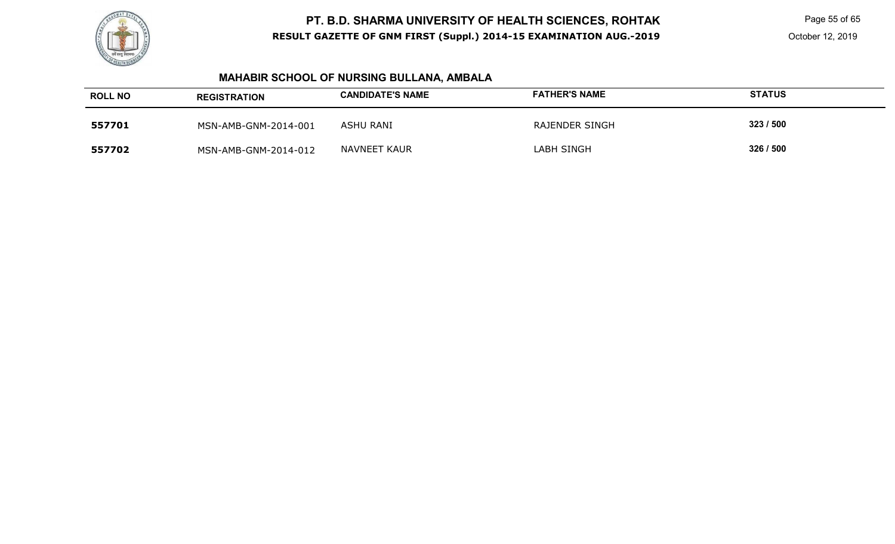

Page 55 of 65

October 12, 2019

# **MAHABIR SCHOOL OF NURSING BULLANA, AMBALA**

| <b>ROLL NO</b> | <b>REGISTRATION</b>  | <b>CANDIDATE'S NAME</b> | <b>FATHER'S NAME</b> | <b>STATUS</b> |
|----------------|----------------------|-------------------------|----------------------|---------------|
| 557701         | MSN-AMB-GNM-2014-001 | ASHU RANI               | RAJENDER SINGH       | 323 / 500     |
| 557702         | MSN-AMB-GNM-2014-012 | NAVNEET KAUR            | LABH SINGH           | 326 / 500     |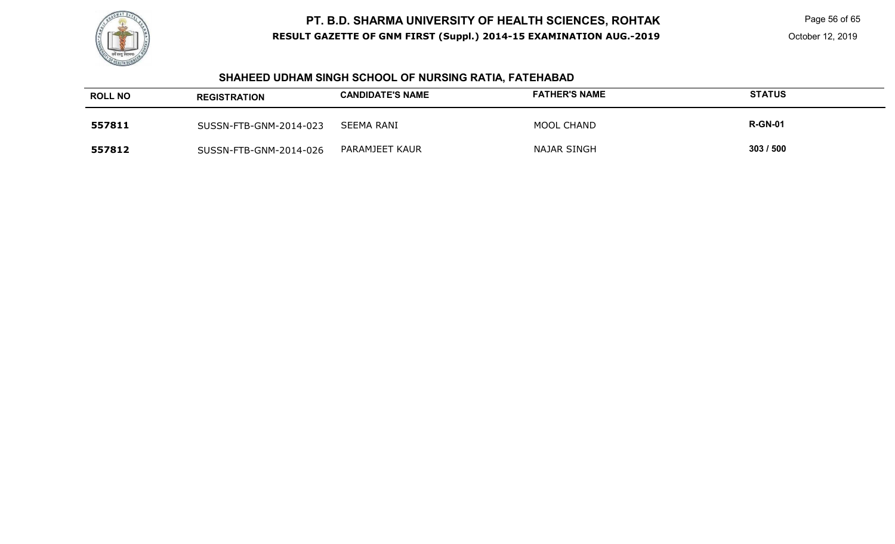

Page 56 of 65

# **SHAHEED UDHAM SINGH SCHOOL OF NURSING RATIA, FATEHABAD**

| <b>ROLL NO</b> | <b>REGISTRATION</b>    | <b>CANDIDATE'S NAME</b> | <b>FATHER'S NAME</b> | <b>STATUS</b>  |
|----------------|------------------------|-------------------------|----------------------|----------------|
| 557811         | SUSSN-FTB-GNM-2014-023 | SEEMA RANI              | <b>MOOL CHAND</b>    | <b>R-GN-01</b> |
| 557812         | SUSSN-FTB-GNM-2014-026 | PARAMJEET KAUR          | NAJAR SINGH          | 303/500        |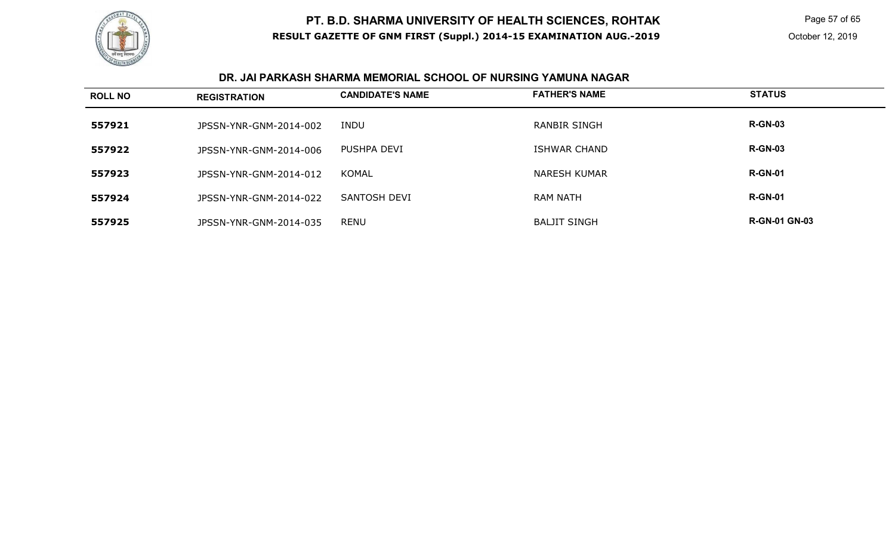

 Page 57 of 65 October 12, 2019

### **DR. JAI PARKASH SHARMA MEMORIAL SCHOOL OF NURSING YAMUNA NAGAR**

| <b>ROLL NO</b> | <b>REGISTRATION</b>    | <b>CANDIDATE'S NAME</b> | <b>FATHER'S NAME</b> | <b>STATUS</b>        |
|----------------|------------------------|-------------------------|----------------------|----------------------|
| 557921         | JPSSN-YNR-GNM-2014-002 | INDU                    | <b>RANBIR SINGH</b>  | <b>R-GN-03</b>       |
| 557922         | JPSSN-YNR-GNM-2014-006 | PUSHPA DEVI             | ISHWAR CHAND         | <b>R-GN-03</b>       |
| 557923         | JPSSN-YNR-GNM-2014-012 | KOMAL                   | <b>NARESH KUMAR</b>  | <b>R-GN-01</b>       |
| 557924         | JPSSN-YNR-GNM-2014-022 | SANTOSH DEVI            | <b>RAM NATH</b>      | <b>R-GN-01</b>       |
| 557925         | JPSSN-YNR-GNM-2014-035 | <b>RENU</b>             | <b>BALJIT SINGH</b>  | <b>R-GN-01 GN-03</b> |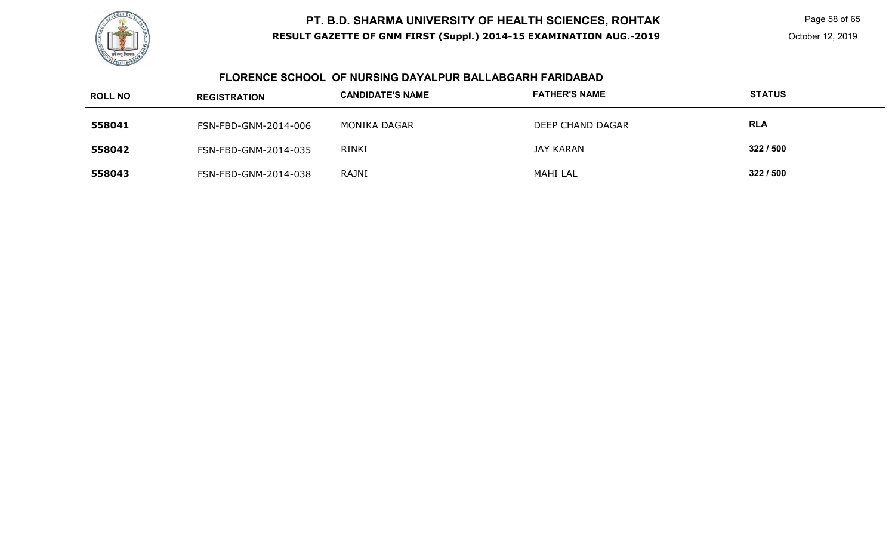

Page 58 of 65

### **FLORENCE SCHOOL OF NURSING DAYALPUR BALLABGARH FARIDABAD**

| <b>ROLL NO</b> | <b>REGISTRATION</b>  | <b>CANDIDATE'S NAME</b> | <b>FATHER'S NAME</b> | <b>STATUS</b> |
|----------------|----------------------|-------------------------|----------------------|---------------|
| 558041         | FSN-FBD-GNM-2014-006 | MONIKA DAGAR            | DEEP CHAND DAGAR     | <b>RLA</b>    |
| 558042         | FSN-FBD-GNM-2014-035 | <b>RINKI</b>            | JAY KARAN            | 322/500       |
| 558043         | FSN-FBD-GNM-2014-038 | RAJNI                   | <b>MAHI LAL</b>      | 322/500       |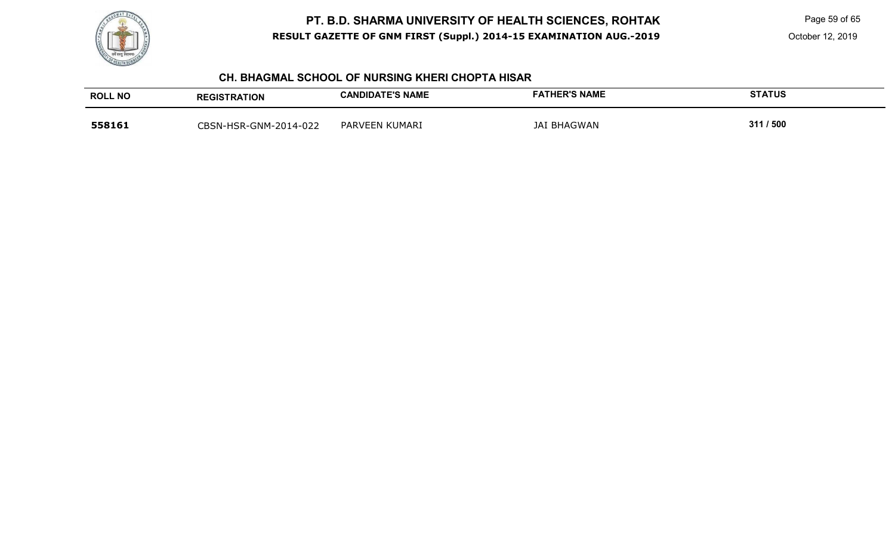

Page 59 of 65

October 12, 2019

### **CH. BHAGMAL SCHOOL OF NURSING KHERI CHOPTA HISAR**

| <b>ROLL NO</b> | <b>REGISTRATION</b>   | <b>CANDIDATE'S NAME</b> | <b>FATHER'S NAME</b> | STATUS    |
|----------------|-----------------------|-------------------------|----------------------|-----------|
| 558161         | CBSN-HSR-GNM-2014-022 | PARVEEN KUMARI          | <b>JAI BHAGWAN</b>   | 311 / 500 |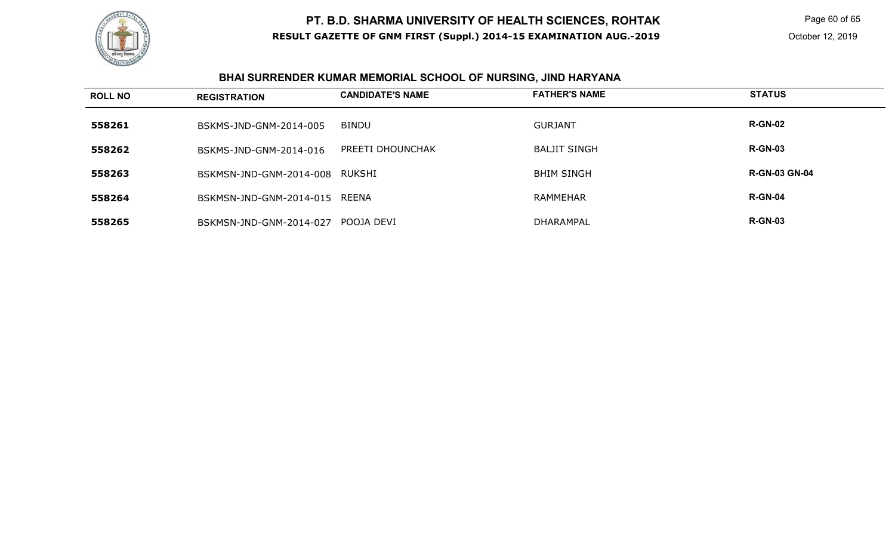

Page 60 of 65

# **BHAI SURRENDER KUMAR MEMORIAL SCHOOL OF NURSING, JIND HARYANA**

| <b>ROLL NO</b> | <b>REGISTRATION</b>           | <b>CANDIDATE'S NAME</b> | <b>FATHER'S NAME</b> | <b>STATUS</b>        |
|----------------|-------------------------------|-------------------------|----------------------|----------------------|
| 558261         | BSKMS-JND-GNM-2014-005        | <b>BINDU</b>            | <b>GURJANT</b>       | <b>R-GN-02</b>       |
| 558262         | BSKMS-JND-GNM-2014-016        | PREETI DHOUNCHAK        | BALJIT SINGH         | <b>R-GN-03</b>       |
| 558263         | BSKMSN-JND-GNM-2014-008       | RUKSHI                  | <b>BHIM SINGH</b>    | <b>R-GN-03 GN-04</b> |
| 558264         | BSKMSN-JND-GNM-2014-015 REENA |                         | <b>RAMMEHAR</b>      | <b>R-GN-04</b>       |
| 558265         | BSKMSN-JND-GNM-2014-027       | POOJA DEVI              | DHARAMPAL            | <b>R-GN-03</b>       |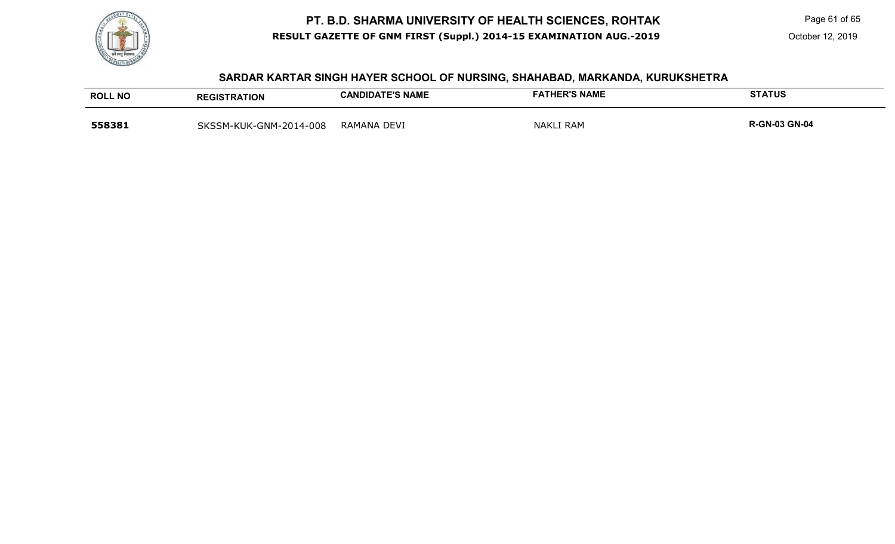

Page 61 of 65

#### **SARDAR KARTAR SINGH HAYER SCHOOL OF NURSING, SHAHABAD, MARKANDA, KURUKSHETRA**

| <b>ROLL NO</b> | <b>REGISTRATION</b>    | <b>CANDIDATE'S NAME</b> | <b>FATHER'S NAME</b> | <b>STATUS</b>        |
|----------------|------------------------|-------------------------|----------------------|----------------------|
| 558381         | SKSSM-KUK-GNM-2014-008 | RAMANA DEVI             | <b>NAKLI RAM</b>     | <b>R-GN-03 GN-04</b> |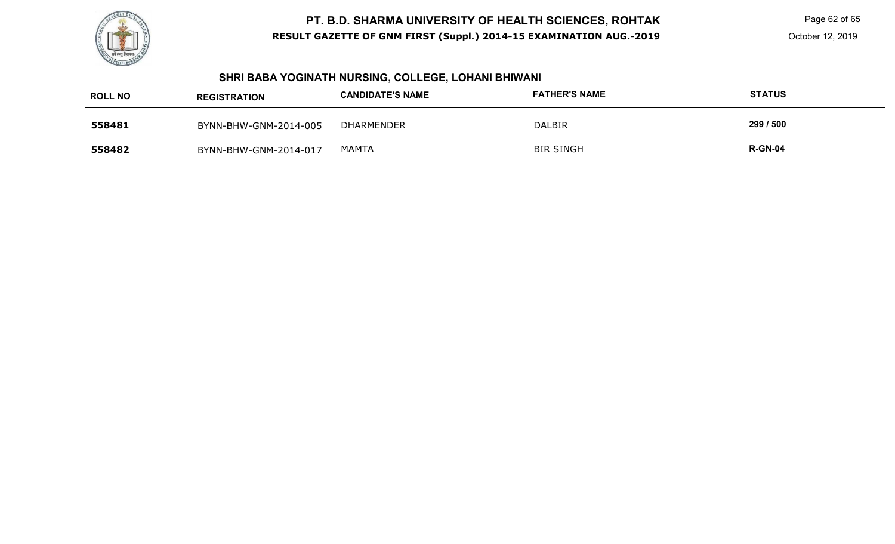

### **SHRI BABA YOGINATH NURSING, COLLEGE, LOHANI BHIWANI**

| <b>ROLL NO</b> | <b>REGISTRATION</b>   | <b>CANDIDATE'S NAME</b> | <b>FATHER'S NAME</b> | <b>STATUS</b>  |
|----------------|-----------------------|-------------------------|----------------------|----------------|
| 558481         | BYNN-BHW-GNM-2014-005 | DHARMENDER              | <b>DALBIR</b>        | 299 / 500      |
| 558482         | BYNN-BHW-GNM-2014-017 | <b>MAMTA</b>            | <b>BIR SINGH</b>     | <b>R-GN-04</b> |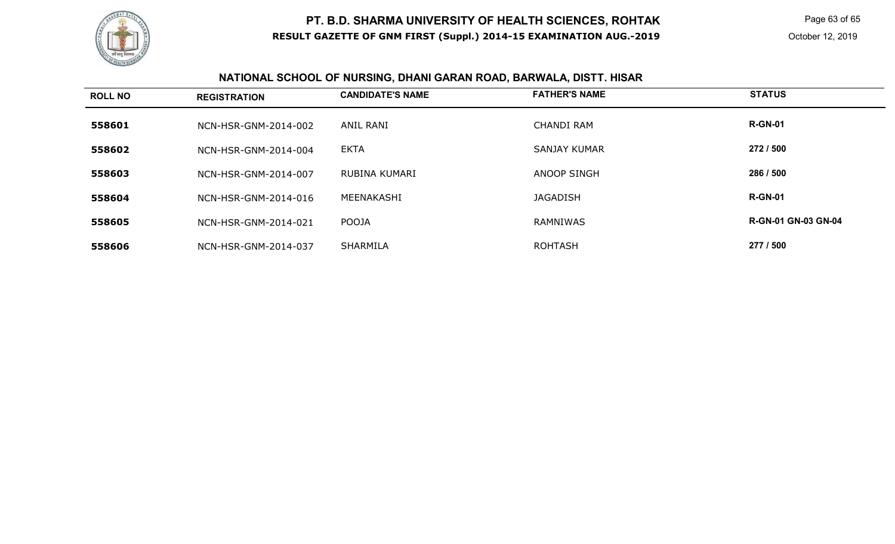

Page 63 of 65

# **NATIONAL SCHOOL OF NURSING, DHANI GARAN ROAD, BARWALA, DISTT. HISAR**

| <b>ROLL NO</b> | <b>REGISTRATION</b>  | <b>CANDIDATE'S NAME</b> | <b>FATHER'S NAME</b> | <b>STATUS</b>              |
|----------------|----------------------|-------------------------|----------------------|----------------------------|
| 558601         | NCN-HSR-GNM-2014-002 | <b>ANIL RANI</b>        | <b>CHANDI RAM</b>    | <b>R-GN-01</b>             |
| 558602         | NCN-HSR-GNM-2014-004 | <b>EKTA</b>             | <b>SANJAY KUMAR</b>  | 272 / 500                  |
| 558603         | NCN-HSR-GNM-2014-007 | RUBINA KUMARI           | ANOOP SINGH          | 286 / 500                  |
| 558604         | NCN-HSR-GNM-2014-016 | MEENAKASHI              | <b>JAGADISH</b>      | <b>R-GN-01</b>             |
| 558605         | NCN-HSR-GNM-2014-021 | POOJA                   | <b>RAMNIWAS</b>      | <b>R-GN-01 GN-03 GN-04</b> |
| 558606         | NCN-HSR-GNM-2014-037 | SHARMILA                | <b>ROHTASH</b>       | 277 / 500                  |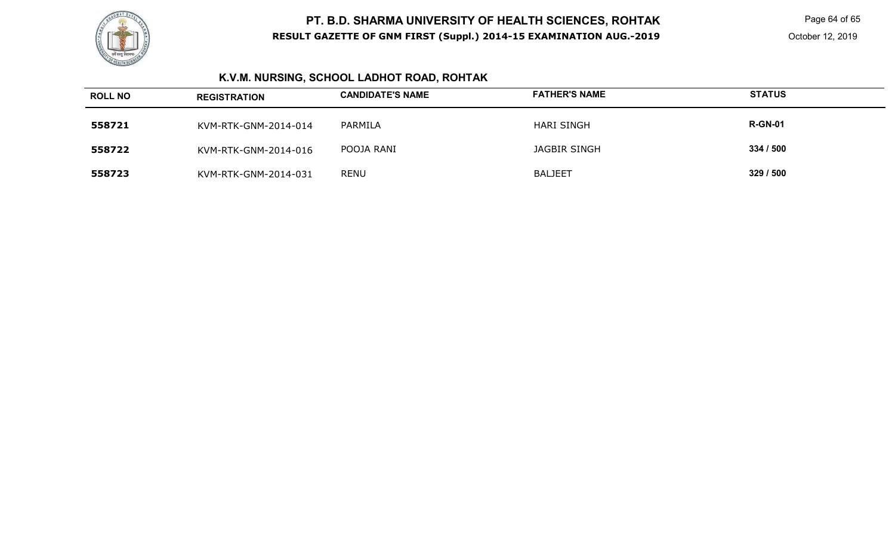

Page 64 of 65

# **K.V.M. NURSING, SCHOOL LADHOT ROAD, ROHTAK**

| <b>ROLL NO</b> | <b>REGISTRATION</b>  | <b>CANDIDATE'S NAME</b> | <b>FATHER'S NAME</b> | <b>STATUS</b>  |
|----------------|----------------------|-------------------------|----------------------|----------------|
| 558721         | KVM-RTK-GNM-2014-014 | PARMILA                 | <b>HARI SINGH</b>    | <b>R-GN-01</b> |
| 558722         | KVM-RTK-GNM-2014-016 | POOJA RANI              | <b>JAGBIR SINGH</b>  | 334 / 500      |
| 558723         | KVM-RTK-GNM-2014-031 | <b>RENU</b>             | <b>BALJEET</b>       | 329/500        |